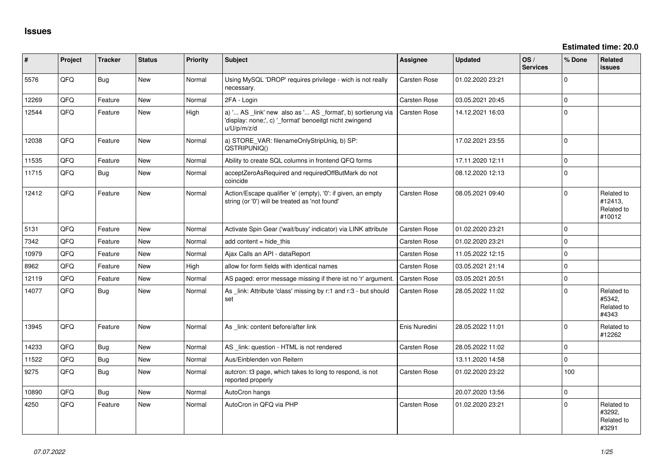| #     | Project | <b>Tracker</b> | <b>Status</b> | <b>Priority</b> | <b>Subject</b>                                                                                                                        | Assignee            | <b>Updated</b>   | OS/<br><b>Services</b> | % Done      | Related<br><b>issues</b>                      |
|-------|---------|----------------|---------------|-----------------|---------------------------------------------------------------------------------------------------------------------------------------|---------------------|------------------|------------------------|-------------|-----------------------------------------------|
| 5576  | QFQ     | <b>Bug</b>     | New           | Normal          | Using MySQL 'DROP' requires privilege - wich is not really<br>necessary.                                                              | Carsten Rose        | 01.02.2020 23:21 |                        | $\mathbf 0$ |                                               |
| 12269 | QFQ     | Feature        | <b>New</b>    | Normal          | 2FA - Login                                                                                                                           | <b>Carsten Rose</b> | 03.05.2021 20:45 |                        | $\mathbf 0$ |                                               |
| 12544 | QFQ     | Feature        | <b>New</b>    | High            | a) ' AS _link' new also as ' AS _format', b) sortierung via<br>'display: none;', c) '_format' benoeitgt nicht zwingend<br>u/U/p/m/z/d | <b>Carsten Rose</b> | 14.12.2021 16:03 |                        | $\mathbf 0$ |                                               |
| 12038 | QFQ     | Feature        | <b>New</b>    | Normal          | a) STORE_VAR: filenameOnlyStripUniq, b) SP:<br>QSTRIPUNIQ()                                                                           |                     | 17.02.2021 23:55 |                        | $\mathbf 0$ |                                               |
| 11535 | QFQ     | Feature        | <b>New</b>    | Normal          | Ability to create SQL columns in frontend QFQ forms                                                                                   |                     | 17.11.2020 12:11 |                        | $\mathbf 0$ |                                               |
| 11715 | QFQ     | <b>Bug</b>     | New           | Normal          | acceptZeroAsRequired and requiredOffButMark do not<br>coincide                                                                        |                     | 08.12.2020 12:13 |                        | $\mathbf 0$ |                                               |
| 12412 | QFQ     | Feature        | <b>New</b>    | Normal          | Action/Escape qualifier 'e' (empty), '0': if given, an empty<br>string (or '0') will be treated as 'not found'                        | <b>Carsten Rose</b> | 08.05.2021 09:40 |                        | $\mathbf 0$ | Related to<br>#12413,<br>Related to<br>#10012 |
| 5131  | QFQ     | Feature        | <b>New</b>    | Normal          | Activate Spin Gear ('wait/busy' indicator) via LINK attribute                                                                         | <b>Carsten Rose</b> | 01.02.2020 23:21 |                        | $\Omega$    |                                               |
| 7342  | QFQ     | Feature        | <b>New</b>    | Normal          | add content $=$ hide this                                                                                                             | <b>Carsten Rose</b> | 01.02.2020 23:21 |                        | $\Omega$    |                                               |
| 10979 | QFQ     | Feature        | <b>New</b>    | Normal          | Ajax Calls an API - dataReport                                                                                                        | Carsten Rose        | 11.05.2022 12:15 |                        | $\Omega$    |                                               |
| 8962  | QFQ     | Feature        | <b>New</b>    | High            | allow for form fields with identical names                                                                                            | <b>Carsten Rose</b> | 03.05.2021 21:14 |                        | $\mathbf 0$ |                                               |
| 12119 | QFQ     | Feature        | <b>New</b>    | Normal          | AS paged: error message missing if there ist no 'r' argument.                                                                         | <b>Carsten Rose</b> | 03.05.2021 20:51 |                        | $\mathbf 0$ |                                               |
| 14077 | QFQ     | Bug            | <b>New</b>    | Normal          | As link: Attribute 'class' missing by r:1 and r:3 - but should<br>set                                                                 | Carsten Rose        | 28.05.2022 11:02 |                        | $\Omega$    | Related to<br>#5342,<br>Related to<br>#4343   |
| 13945 | QFQ     | Feature        | <b>New</b>    | Normal          | As _link: content before/after link                                                                                                   | Enis Nuredini       | 28.05.2022 11:01 |                        | $\Omega$    | Related to<br>#12262                          |
| 14233 | QFQ     | Bug            | <b>New</b>    | Normal          | AS _link: question - HTML is not rendered                                                                                             | <b>Carsten Rose</b> | 28.05.2022 11:02 |                        | $\mathbf 0$ |                                               |
| 11522 | QFQ     | <b>Bug</b>     | <b>New</b>    | Normal          | Aus/Einblenden von Reitern                                                                                                            |                     | 13.11.2020 14:58 |                        | $\mathbf 0$ |                                               |
| 9275  | QFQ     | Bug            | <b>New</b>    | Normal          | autcron: t3 page, which takes to long to respond, is not<br>reported properly                                                         | Carsten Rose        | 01.02.2020 23:22 |                        | 100         |                                               |
| 10890 | QFQ     | <b>Bug</b>     | New           | Normal          | AutoCron hangs                                                                                                                        |                     | 20.07.2020 13:56 |                        | $\mathbf 0$ |                                               |
| 4250  | QFQ     | Feature        | New           | Normal          | AutoCron in QFQ via PHP                                                                                                               | <b>Carsten Rose</b> | 01.02.2020 23:21 |                        | $\Omega$    | Related to<br>#3292,<br>Related to<br>#3291   |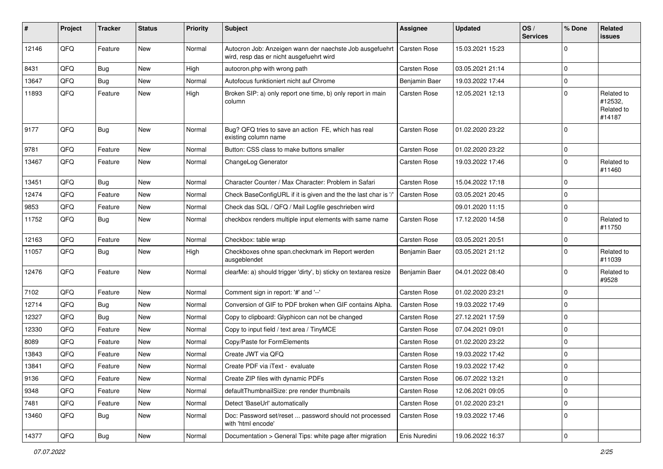| $\vert$ # | Project | <b>Tracker</b> | <b>Status</b> | <b>Priority</b> | <b>Subject</b>                                                                                       | <b>Assignee</b> | <b>Updated</b>   | OS/<br><b>Services</b> | % Done      | <b>Related</b><br>issues                      |
|-----------|---------|----------------|---------------|-----------------|------------------------------------------------------------------------------------------------------|-----------------|------------------|------------------------|-------------|-----------------------------------------------|
| 12146     | QFQ     | Feature        | New           | Normal          | Autocron Job: Anzeigen wann der naechste Job ausgefuehrt<br>wird, resp das er nicht ausgefuehrt wird | Carsten Rose    | 15.03.2021 15:23 |                        | $\Omega$    |                                               |
| 8431      | QFQ     | Bug            | New           | High            | autocron.php with wrong path                                                                         | Carsten Rose    | 03.05.2021 21:14 |                        | $\Omega$    |                                               |
| 13647     | QFQ     | Bug            | New           | Normal          | Autofocus funktioniert nicht auf Chrome                                                              | Benjamin Baer   | 19.03.2022 17:44 |                        | $\mathbf 0$ |                                               |
| 11893     | QFQ     | Feature        | New           | High            | Broken SIP: a) only report one time, b) only report in main<br>column                                | Carsten Rose    | 12.05.2021 12:13 |                        | $\Omega$    | Related to<br>#12532,<br>Related to<br>#14187 |
| 9177      | QFQ     | Bug            | <b>New</b>    | Normal          | Bug? QFQ tries to save an action FE, which has real<br>existing column name                          | Carsten Rose    | 01.02.2020 23:22 |                        | $\Omega$    |                                               |
| 9781      | QFQ     | Feature        | New           | Normal          | Button: CSS class to make buttons smaller                                                            | Carsten Rose    | 01.02.2020 23:22 |                        | $\mathbf 0$ |                                               |
| 13467     | QFQ     | Feature        | <b>New</b>    | Normal          | ChangeLog Generator                                                                                  | Carsten Rose    | 19.03.2022 17:46 |                        | $\Omega$    | Related to<br>#11460                          |
| 13451     | QFQ     | Bug            | <b>New</b>    | Normal          | Character Counter / Max Character: Problem in Safari                                                 | Carsten Rose    | 15.04.2022 17:18 |                        | $\Omega$    |                                               |
| 12474     | QFQ     | Feature        | <b>New</b>    | Normal          | Check BaseConfigURL if it is given and the the last char is '/'                                      | Carsten Rose    | 03.05.2021 20:45 |                        | $\mathbf 0$ |                                               |
| 9853      | QFQ     | Feature        | New           | Normal          | Check das SQL / QFQ / Mail Logfile geschrieben wird                                                  |                 | 09.01.2020 11:15 |                        | $\Omega$    |                                               |
| 11752     | QFQ     | Bug            | <b>New</b>    | Normal          | checkbox renders multiple input elements with same name                                              | Carsten Rose    | 17.12.2020 14:58 |                        | $\Omega$    | Related to<br>#11750                          |
| 12163     | QFQ     | Feature        | <b>New</b>    | Normal          | Checkbox: table wrap                                                                                 | Carsten Rose    | 03.05.2021 20:51 |                        | $\mathbf 0$ |                                               |
| 11057     | QFQ     | Bug            | <b>New</b>    | High            | Checkboxes ohne span.checkmark im Report werden<br>ausgeblendet                                      | Benjamin Baer   | 03.05.2021 21:12 |                        | $\Omega$    | Related to<br>#11039                          |
| 12476     | QFQ     | Feature        | New           | Normal          | clearMe: a) should trigger 'dirty', b) sticky on textarea resize                                     | Benjamin Baer   | 04.01.2022 08:40 |                        | $\Omega$    | Related to<br>#9528                           |
| 7102      | QFQ     | Feature        | New           | Normal          | Comment sign in report: '#' and '--'                                                                 | Carsten Rose    | 01.02.2020 23:21 |                        | $\Omega$    |                                               |
| 12714     | QFQ     | Bug            | New           | Normal          | Conversion of GIF to PDF broken when GIF contains Alpha.                                             | Carsten Rose    | 19.03.2022 17:49 |                        | $\Omega$    |                                               |
| 12327     | QFQ     | Bug            | New           | Normal          | Copy to clipboard: Glyphicon can not be changed                                                      | Carsten Rose    | 27.12.2021 17:59 |                        | $\mathbf 0$ |                                               |
| 12330     | QFQ     | Feature        | New           | Normal          | Copy to input field / text area / TinyMCE                                                            | Carsten Rose    | 07.04.2021 09:01 |                        | $\Omega$    |                                               |
| 8089      | QFQ     | Feature        | <b>New</b>    | Normal          | Copy/Paste for FormElements                                                                          | Carsten Rose    | 01.02.2020 23:22 |                        | $\Omega$    |                                               |
| 13843     | QFQ     | Feature        | New           | Normal          | Create JWT via QFQ                                                                                   | Carsten Rose    | 19.03.2022 17:42 |                        | $\mathbf 0$ |                                               |
| 13841     | QFQ     | Feature        | New           | Normal          | Create PDF via iText - evaluate                                                                      | Carsten Rose    | 19.03.2022 17:42 |                        | $\Omega$    |                                               |
| 9136      | QFQ     | Feature        | New           | Normal          | Create ZIP files with dynamic PDFs                                                                   | Carsten Rose    | 06.07.2022 13:21 |                        | 0           |                                               |
| 9348      | QFQ     | Feature        | New           | Normal          | defaultThumbnailSize: pre render thumbnails                                                          | Carsten Rose    | 12.06.2021 09:05 |                        | $\mathbf 0$ |                                               |
| 7481      | QFQ     | Feature        | New           | Normal          | Detect 'BaseUrl' automatically                                                                       | Carsten Rose    | 01.02.2020 23:21 |                        | $\mathbf 0$ |                                               |
| 13460     | QFQ     | <b>Bug</b>     | New           | Normal          | Doc: Password set/reset  password should not processed<br>with 'html encode'                         | Carsten Rose    | 19.03.2022 17:46 |                        | 0           |                                               |
| 14377     | QFQ     | Bug            | New           | Normal          | Documentation > General Tips: white page after migration                                             | Enis Nuredini   | 19.06.2022 16:37 |                        | $\pmb{0}$   |                                               |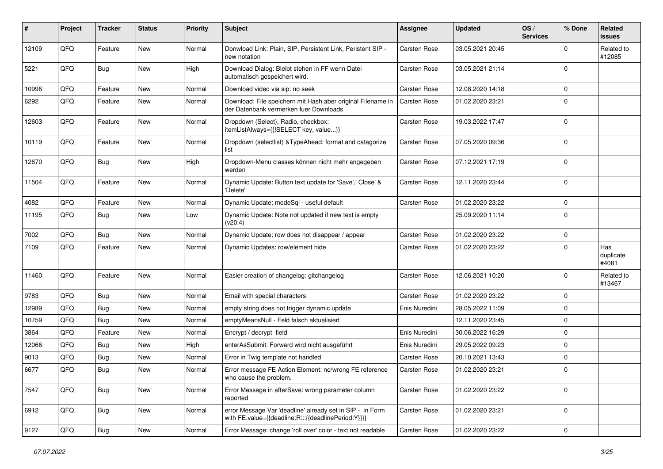| #     | Project | <b>Tracker</b> | <b>Status</b> | <b>Priority</b> | <b>Subject</b>                                                                                                   | Assignee            | <b>Updated</b>   | OS/<br><b>Services</b> | % Done      | <b>Related</b><br><b>issues</b> |
|-------|---------|----------------|---------------|-----------------|------------------------------------------------------------------------------------------------------------------|---------------------|------------------|------------------------|-------------|---------------------------------|
| 12109 | QFQ     | Feature        | <b>New</b>    | Normal          | Donwload Link: Plain, SIP, Persistent Link, Peristent SIP -<br>new notation                                      | Carsten Rose        | 03.05.2021 20:45 |                        | $\Omega$    | Related to<br>#12085            |
| 5221  | QFQ     | Bug            | <b>New</b>    | High            | Download Dialog: Bleibt stehen in FF wenn Datei<br>automatisch gespeichert wird.                                 | Carsten Rose        | 03.05.2021 21:14 |                        | $\mathbf 0$ |                                 |
| 10996 | QFQ     | Feature        | <b>New</b>    | Normal          | Download video via sip: no seek                                                                                  | Carsten Rose        | 12.08.2020 14:18 |                        | $\Omega$    |                                 |
| 6292  | QFQ     | Feature        | <b>New</b>    | Normal          | Download: File speichern mit Hash aber original Filename in<br>der Datenbank vermerken fuer Downloads            | <b>Carsten Rose</b> | 01.02.2020 23:21 |                        | $\mathbf 0$ |                                 |
| 12603 | QFQ     | Feature        | New           | Normal          | Dropdown (Select), Radio, checkbox:<br>itemListAlways={{!SELECT key, value}}                                     | Carsten Rose        | 19.03.2022 17:47 |                        | $\mathbf 0$ |                                 |
| 10119 | QFQ     | Feature        | New           | Normal          | Dropdown (selectlist) & TypeAhead: format and catagorize<br>list                                                 | Carsten Rose        | 07.05.2020 09:36 |                        | $\mathbf 0$ |                                 |
| 12670 | QFQ     | <b>Bug</b>     | <b>New</b>    | High            | Dropdown-Menu classes können nicht mehr angegeben<br>werden                                                      | Carsten Rose        | 07.12.2021 17:19 |                        | $\mathbf 0$ |                                 |
| 11504 | QFQ     | Feature        | <b>New</b>    | Normal          | Dynamic Update: Button text update for 'Save',' Close' &<br>'Delete'                                             | Carsten Rose        | 12.11.2020 23:44 |                        | $\mathbf 0$ |                                 |
| 4082  | QFQ     | Feature        | <b>New</b>    | Normal          | Dynamic Update: modeSql - useful default                                                                         | Carsten Rose        | 01.02.2020 23:22 |                        | $\mathbf 0$ |                                 |
| 11195 | QFQ     | <b>Bug</b>     | New           | Low             | Dynamic Update: Note not updated if new text is empty<br>(v20.4)                                                 |                     | 25.09.2020 11:14 |                        | $\mathbf 0$ |                                 |
| 7002  | QFQ     | <b>Bug</b>     | <b>New</b>    | Normal          | Dynamic Update: row does not disappear / appear                                                                  | Carsten Rose        | 01.02.2020 23:22 |                        | $\mathbf 0$ |                                 |
| 7109  | QFQ     | Feature        | <b>New</b>    | Normal          | Dynamic Updates: row/element hide                                                                                | Carsten Rose        | 01.02.2020 23:22 |                        | $\mathbf 0$ | Has<br>duplicate<br>#4081       |
| 11460 | QFQ     | Feature        | <b>New</b>    | Normal          | Easier creation of changelog: gitchangelog                                                                       | Carsten Rose        | 12.06.2021 10:20 |                        | $\mathbf 0$ | Related to<br>#13467            |
| 9783  | QFQ     | Bug            | <b>New</b>    | Normal          | Email with special characters                                                                                    | Carsten Rose        | 01.02.2020 23:22 |                        | $\mathbf 0$ |                                 |
| 12989 | QFQ     | Bug            | New           | Normal          | empty string does not trigger dynamic update                                                                     | Enis Nuredini       | 28.05.2022 11:09 |                        | $\mathbf 0$ |                                 |
| 10759 | QFQ     | Bug            | <b>New</b>    | Normal          | emptyMeansNull - Feld falsch aktualisiert                                                                        |                     | 12.11.2020 23:45 |                        | $\mathbf 0$ |                                 |
| 3864  | QFQ     | Feature        | <b>New</b>    | Normal          | Encrypt / decrypt field                                                                                          | Enis Nuredini       | 30.06.2022 16:29 |                        | $\mathbf 0$ |                                 |
| 12066 | QFQ     | <b>Bug</b>     | New           | High            | enterAsSubmit: Forward wird nicht ausgeführt                                                                     | Enis Nuredini       | 29.05.2022 09:23 |                        | 0           |                                 |
| 9013  | QFQ     | <b>Bug</b>     | <b>New</b>    | Normal          | Error in Twig template not handled                                                                               | Carsten Rose        | 20.10.2021 13:43 |                        | $\Omega$    |                                 |
| 6677  | QFQ     | Bug            | New           | Normal          | Error message FE Action Element: no/wrong FE reference<br>who cause the problem.                                 | Carsten Rose        | 01.02.2020 23:21 |                        | 0           |                                 |
| 7547  | QFQ     | Bug            | New           | Normal          | Error Message in afterSave: wrong parameter column<br>reported                                                   | Carsten Rose        | 01.02.2020 23:22 |                        | $\mathbf 0$ |                                 |
| 6912  | QFQ     | <b>Bug</b>     | New           | Normal          | error Message Var 'deadline' already set in SIP - in Form<br>with FE.value={{deadline:R:::{{deadlinePeriod:Y}}}} | Carsten Rose        | 01.02.2020 23:21 |                        | $\mathbf 0$ |                                 |
| 9127  | QFQ     | <b>Bug</b>     | New           | Normal          | Error Message: change 'roll over' color - text not readable                                                      | Carsten Rose        | 01.02.2020 23:22 |                        | $\mathbf 0$ |                                 |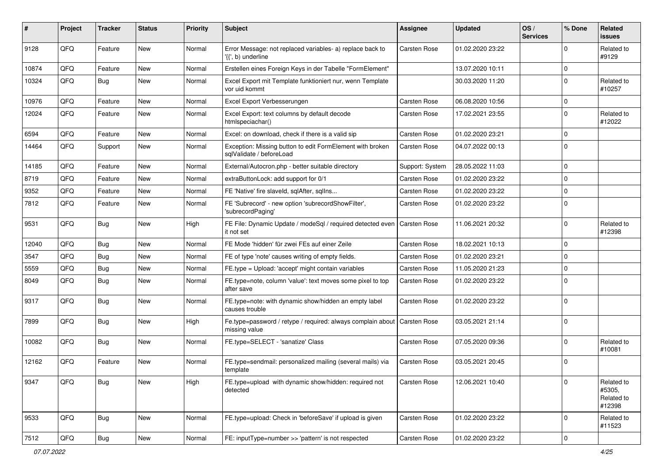| #     | Project | <b>Tracker</b> | <b>Status</b> | <b>Priority</b> | <b>Subject</b>                                                                        | Assignee            | <b>Updated</b>   | OS/<br><b>Services</b> | % Done      | Related<br><b>issues</b>                     |
|-------|---------|----------------|---------------|-----------------|---------------------------------------------------------------------------------------|---------------------|------------------|------------------------|-------------|----------------------------------------------|
| 9128  | QFQ     | Feature        | New           | Normal          | Error Message: not replaced variables- a) replace back to<br>'{{', b) underline       | Carsten Rose        | 01.02.2020 23:22 |                        | $\Omega$    | Related to<br>#9129                          |
| 10874 | QFQ     | Feature        | New           | Normal          | Erstellen eines Foreign Keys in der Tabelle "FormElement"                             |                     | 13.07.2020 10:11 |                        | $\mathbf 0$ |                                              |
| 10324 | QFQ     | <b>Bug</b>     | New           | Normal          | Excel Export mit Template funktioniert nur, wenn Template<br>vor uid kommt            |                     | 30.03.2020 11:20 |                        | $\Omega$    | Related to<br>#10257                         |
| 10976 | QFQ     | Feature        | <b>New</b>    | Normal          | Excel Export Verbesserungen                                                           | Carsten Rose        | 06.08.2020 10:56 |                        | $\mathbf 0$ |                                              |
| 12024 | QFQ     | Feature        | New           | Normal          | Excel Export: text columns by default decode<br>htmlspeciachar()                      | Carsten Rose        | 17.02.2021 23:55 |                        | $\mathbf 0$ | Related to<br>#12022                         |
| 6594  | QFQ     | Feature        | <b>New</b>    | Normal          | Excel: on download, check if there is a valid sip                                     | <b>Carsten Rose</b> | 01.02.2020 23:21 |                        | $\mathbf 0$ |                                              |
| 14464 | QFQ     | Support        | <b>New</b>    | Normal          | Exception: Missing button to edit FormElement with broken<br>sqlValidate / beforeLoad | Carsten Rose        | 04.07.2022 00:13 |                        | $\Omega$    |                                              |
| 14185 | QFQ     | Feature        | <b>New</b>    | Normal          | External/Autocron.php - better suitable directory                                     | Support: System     | 28.05.2022 11:03 |                        | $\mathbf 0$ |                                              |
| 8719  | QFQ     | Feature        | New           | Normal          | extraButtonLock: add support for 0/1                                                  | Carsten Rose        | 01.02.2020 23:22 |                        | $\mathbf 0$ |                                              |
| 9352  | QFQ     | Feature        | New           | Normal          | FE 'Native' fire slaveld, sqlAfter, sqlIns                                            | Carsten Rose        | 01.02.2020 23:22 |                        | $\Omega$    |                                              |
| 7812  | QFQ     | Feature        | New           | Normal          | FE 'Subrecord' - new option 'subrecordShowFilter',<br>'subrecordPaging'               | Carsten Rose        | 01.02.2020 23:22 |                        | $\mathbf 0$ |                                              |
| 9531  | QFQ     | Bug            | <b>New</b>    | High            | FE File: Dynamic Update / modeSql / required detected even<br>it not set              | Carsten Rose        | 11.06.2021 20:32 |                        | $\mathbf 0$ | Related to<br>#12398                         |
| 12040 | QFQ     | <b>Bug</b>     | <b>New</b>    | Normal          | FE Mode 'hidden' für zwei FEs auf einer Zeile                                         | Carsten Rose        | 18.02.2021 10:13 |                        | $\mathbf 0$ |                                              |
| 3547  | QFQ     | Bug            | <b>New</b>    | Normal          | FE of type 'note' causes writing of empty fields.                                     | Carsten Rose        | 01.02.2020 23:21 |                        | $\mathbf 0$ |                                              |
| 5559  | QFQ     | Bug            | <b>New</b>    | Normal          | FE.type = Upload: 'accept' might contain variables                                    | Carsten Rose        | 11.05.2020 21:23 |                        | $\mathbf 0$ |                                              |
| 8049  | QFQ     | <b>Bug</b>     | <b>New</b>    | Normal          | FE.type=note, column 'value': text moves some pixel to top<br>after save              | Carsten Rose        | 01.02.2020 23:22 |                        | $\Omega$    |                                              |
| 9317  | QFQ     | <b>Bug</b>     | <b>New</b>    | Normal          | FE.type=note: with dynamic show/hidden an empty label<br>causes trouble               | Carsten Rose        | 01.02.2020 23:22 |                        | $\Omega$    |                                              |
| 7899  | QFQ     | Bug            | <b>New</b>    | High            | Fe.type=password / retype / required: always complain about<br>missing value          | Carsten Rose        | 03.05.2021 21:14 |                        | $\mathbf 0$ |                                              |
| 10082 | QFQ     | Bug            | New           | Normal          | FE.type=SELECT - 'sanatize' Class                                                     | Carsten Rose        | 07.05.2020 09:36 |                        | $\Omega$    | Related to<br>#10081                         |
| 12162 | QFQ     | Feature        | New           | Normal          | FE.type=sendmail: personalized mailing (several mails) via<br>template                | Carsten Rose        | 03.05.2021 20:45 |                        | $\mathbf 0$ |                                              |
| 9347  | QFQ     | Bug            | New           | High            | FE.type=upload with dynamic show/hidden: required not<br>detected                     | Carsten Rose        | 12.06.2021 10:40 |                        | $\mathbf 0$ | Related to<br>#5305,<br>Related to<br>#12398 |
| 9533  | QFQ     | <b>Bug</b>     | New           | Normal          | FE.type=upload: Check in 'beforeSave' if upload is given                              | Carsten Rose        | 01.02.2020 23:22 |                        | $\mathbf 0$ | Related to<br>#11523                         |
| 7512  | QFO     | <b>Bug</b>     | New           | Normal          | FE: inputType=number >> 'pattern' is not respected                                    | Carsten Rose        | 01.02.2020 23:22 |                        | $\pmb{0}$   |                                              |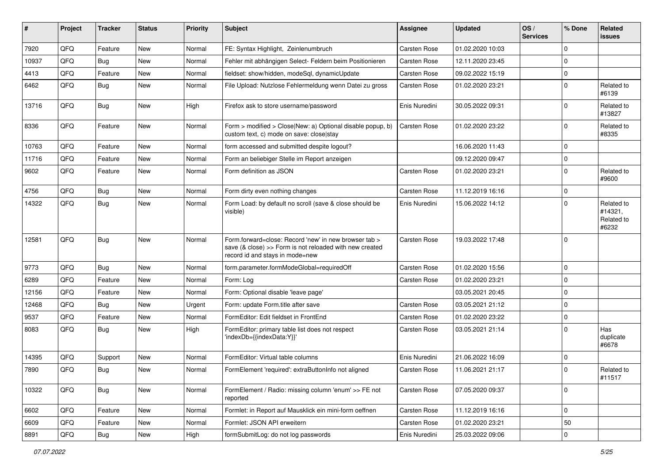| #     | Project | <b>Tracker</b> | <b>Status</b> | <b>Priority</b> | <b>Subject</b>                                                                                                                                      | <b>Assignee</b> | <b>Updated</b>   | OS/<br><b>Services</b> | % Done         | Related<br>issues                            |
|-------|---------|----------------|---------------|-----------------|-----------------------------------------------------------------------------------------------------------------------------------------------------|-----------------|------------------|------------------------|----------------|----------------------------------------------|
| 7920  | QFQ     | Feature        | <b>New</b>    | Normal          | FE: Syntax Highlight, Zeinlenumbruch                                                                                                                | Carsten Rose    | 01.02.2020 10:03 |                        | 0              |                                              |
| 10937 | QFQ     | Bug            | <b>New</b>    | Normal          | Fehler mit abhängigen Select- Feldern beim Positionieren                                                                                            | Carsten Rose    | 12.11.2020 23:45 |                        | $\mathbf 0$    |                                              |
| 4413  | QFQ     | Feature        | <b>New</b>    | Normal          | fieldset: show/hidden, modeSql, dynamicUpdate                                                                                                       | Carsten Rose    | 09.02.2022 15:19 |                        | $\mathbf 0$    |                                              |
| 6462  | QFQ     | Bug            | New           | Normal          | File Upload: Nutzlose Fehlermeldung wenn Datei zu gross                                                                                             | Carsten Rose    | 01.02.2020 23:21 |                        | $\Omega$       | Related to<br>#6139                          |
| 13716 | QFQ     | Bug            | <b>New</b>    | High            | Firefox ask to store username/password                                                                                                              | Enis Nuredini   | 30.05.2022 09:31 |                        | $\Omega$       | Related to<br>#13827                         |
| 8336  | QFQ     | Feature        | <b>New</b>    | Normal          | Form > modified > Close New: a) Optional disable popup, b)<br>custom text, c) mode on save: close stay                                              | Carsten Rose    | 01.02.2020 23:22 |                        | $\Omega$       | Related to<br>#8335                          |
| 10763 | QFQ     | Feature        | New           | Normal          | form accessed and submitted despite logout?                                                                                                         |                 | 16.06.2020 11:43 |                        | $\mathbf 0$    |                                              |
| 11716 | QFQ     | Feature        | <b>New</b>    | Normal          | Form an beliebiger Stelle im Report anzeigen                                                                                                        |                 | 09.12.2020 09:47 |                        | $\mathbf 0$    |                                              |
| 9602  | QFQ     | Feature        | New           | Normal          | Form definition as JSON                                                                                                                             | Carsten Rose    | 01.02.2020 23:21 |                        | $\Omega$       | Related to<br>#9600                          |
| 4756  | QFQ     | <b>Bug</b>     | <b>New</b>    | Normal          | Form dirty even nothing changes                                                                                                                     | Carsten Rose    | 11.12.2019 16:16 |                        | $\mathbf 0$    |                                              |
| 14322 | QFQ     | Bug            | New           | Normal          | Form Load: by default no scroll (save & close should be<br>visible)                                                                                 | Enis Nuredini   | 15.06.2022 14:12 |                        | $\Omega$       | Related to<br>#14321,<br>Related to<br>#6232 |
| 12581 | QFQ     | Bug            | <b>New</b>    | Normal          | Form.forward=close: Record 'new' in new browser tab ><br>save (& close) >> Form is not reloaded with new created<br>record id and stays in mode=new | Carsten Rose    | 19.03.2022 17:48 |                        | $\Omega$       |                                              |
| 9773  | QFQ     | Bug            | <b>New</b>    | Normal          | form.parameter.formModeGlobal=requiredOff                                                                                                           | Carsten Rose    | 01.02.2020 15:56 |                        | $\Omega$       |                                              |
| 6289  | QFQ     | Feature        | <b>New</b>    | Normal          | Form: Log                                                                                                                                           | Carsten Rose    | 01.02.2020 23:21 |                        | $\mathbf 0$    |                                              |
| 12156 | QFQ     | Feature        | <b>New</b>    | Normal          | Form: Optional disable 'leave page'                                                                                                                 |                 | 03.05.2021 20:45 |                        | $\overline{0}$ |                                              |
| 12468 | QFQ     | <b>Bug</b>     | <b>New</b>    | Urgent          | Form: update Form.title after save                                                                                                                  | Carsten Rose    | 03.05.2021 21:12 |                        | $\overline{0}$ |                                              |
| 9537  | QFQ     | Feature        | New           | Normal          | FormEditor: Edit fieldset in FrontEnd                                                                                                               | Carsten Rose    | 01.02.2020 23:22 |                        | 0              |                                              |
| 8083  | QFQ     | Bug            | <b>New</b>    | High            | FormEditor: primary table list does not respect<br>'indexDb={{indexData:Y}}'                                                                        | Carsten Rose    | 03.05.2021 21:14 |                        | $\Omega$       | Has<br>duplicate<br>#6678                    |
| 14395 | QFQ     | Support        | <b>New</b>    | Normal          | FormEditor: Virtual table columns                                                                                                                   | Enis Nuredini   | 21.06.2022 16:09 |                        | $\mathbf 0$    |                                              |
| 7890  | QFQ     | Bug            | <b>New</b>    | Normal          | FormElement 'required': extraButtonInfo not aligned                                                                                                 | Carsten Rose    | 11.06.2021 21:17 |                        | $\Omega$       | Related to<br>#11517                         |
| 10322 | QFQ     | Bug            | New           | Normal          | FormElement / Radio: missing column 'enum' >> FE not<br>reported                                                                                    | Carsten Rose    | 07.05.2020 09:37 |                        | $\mathbf 0$    |                                              |
| 6602  | QFQ     | Feature        | New           | Normal          | Formlet: in Report auf Mausklick ein mini-form oeffnen                                                                                              | Carsten Rose    | 11.12.2019 16:16 |                        | 0              |                                              |
| 6609  | QFQ     | Feature        | New           | Normal          | Formlet: JSON API erweitern                                                                                                                         | Carsten Rose    | 01.02.2020 23:21 |                        | 50             |                                              |
| 8891  | QFQ     | Bug            | New           | High            | formSubmitLog: do not log passwords                                                                                                                 | Enis Nuredini   | 25.03.2022 09:06 |                        | $\pmb{0}$      |                                              |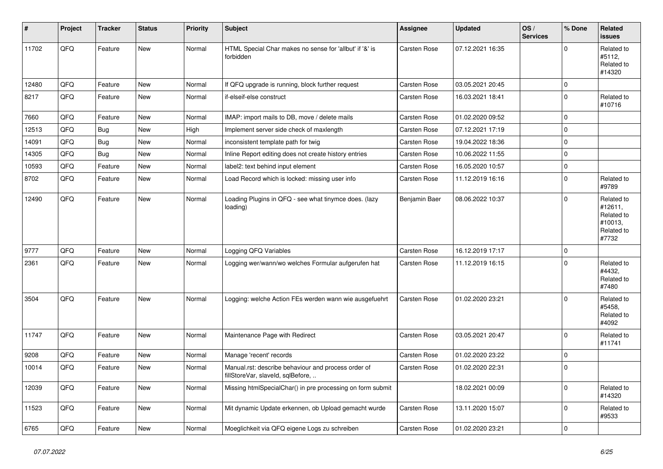| ∦     | Project | <b>Tracker</b> | <b>Status</b> | <b>Priority</b> | <b>Subject</b>                                                                           | <b>Assignee</b> | <b>Updated</b>   | OS/<br><b>Services</b> | % Done      | Related<br><b>issues</b>                                              |
|-------|---------|----------------|---------------|-----------------|------------------------------------------------------------------------------------------|-----------------|------------------|------------------------|-------------|-----------------------------------------------------------------------|
| 11702 | QFQ     | Feature        | <b>New</b>    | Normal          | HTML Special Char makes no sense for 'allbut' if '&' is<br>forbidden                     | Carsten Rose    | 07.12.2021 16:35 |                        | $\Omega$    | Related to<br>#5112,<br>Related to<br>#14320                          |
| 12480 | QFQ     | Feature        | <b>New</b>    | Normal          | If QFQ upgrade is running, block further request                                         | Carsten Rose    | 03.05.2021 20:45 |                        | $\mathbf 0$ |                                                                       |
| 8217  | QFQ     | Feature        | <b>New</b>    | Normal          | if-elseif-else construct                                                                 | Carsten Rose    | 16.03.2021 18:41 |                        | $\Omega$    | Related to<br>#10716                                                  |
| 7660  | QFQ     | Feature        | <b>New</b>    | Normal          | IMAP: import mails to DB, move / delete mails                                            | Carsten Rose    | 01.02.2020 09:52 |                        | $\mathbf 0$ |                                                                       |
| 12513 | QFQ     | Bug            | New           | High            | Implement server side check of maxlength                                                 | Carsten Rose    | 07.12.2021 17:19 |                        | $\mathbf 0$ |                                                                       |
| 14091 | QFQ     | Bug            | <b>New</b>    | Normal          | inconsistent template path for twig                                                      | Carsten Rose    | 19.04.2022 18:36 |                        | $\mathbf 0$ |                                                                       |
| 14305 | QFQ     | <b>Bug</b>     | <b>New</b>    | Normal          | Inline Report editing does not create history entries                                    | Carsten Rose    | 10.06.2022 11:55 |                        | $\mathbf 0$ |                                                                       |
| 10593 | QFQ     | Feature        | <b>New</b>    | Normal          | label2: text behind input element                                                        | Carsten Rose    | 16.05.2020 10:57 |                        | $\mathbf 0$ |                                                                       |
| 8702  | QFQ     | Feature        | <b>New</b>    | Normal          | Load Record which is locked: missing user info                                           | Carsten Rose    | 11.12.2019 16:16 |                        | $\mathbf 0$ | Related to<br>#9789                                                   |
| 12490 | QFQ     | Feature        | <b>New</b>    | Normal          | Loading Plugins in QFQ - see what tinymce does. (lazy<br>loading)                        | Benjamin Baer   | 08.06.2022 10:37 |                        | $\Omega$    | Related to<br>#12611,<br>Related to<br>#10013,<br>Related to<br>#7732 |
| 9777  | QFQ     | Feature        | <b>New</b>    | Normal          | Logging QFQ Variables                                                                    | Carsten Rose    | 16.12.2019 17:17 |                        | $\mathbf 0$ |                                                                       |
| 2361  | QFQ     | Feature        | <b>New</b>    | Normal          | Logging wer/wann/wo welches Formular aufgerufen hat                                      | Carsten Rose    | 11.12.2019 16:15 |                        | $\Omega$    | Related to<br>#4432,<br>Related to<br>#7480                           |
| 3504  | QFQ     | Feature        | <b>New</b>    | Normal          | Logging: welche Action FEs werden wann wie ausgefuehrt                                   | Carsten Rose    | 01.02.2020 23:21 |                        | $\Omega$    | Related to<br>#5458,<br>Related to<br>#4092                           |
| 11747 | QFQ     | Feature        | <b>New</b>    | Normal          | Maintenance Page with Redirect                                                           | Carsten Rose    | 03.05.2021 20:47 |                        | $\Omega$    | Related to<br>#11741                                                  |
| 9208  | QFQ     | Feature        | New           | Normal          | Manage 'recent' records                                                                  | Carsten Rose    | 01.02.2020 23:22 |                        | $\mathbf 0$ |                                                                       |
| 10014 | QFQ     | Feature        | New           | Normal          | Manual.rst: describe behaviour and process order of<br>fillStoreVar, slaveId, sqlBefore, | Carsten Rose    | 01.02.2020 22:31 |                        | $\Omega$    |                                                                       |
| 12039 | QFQ     | Feature        | <b>New</b>    | Normal          | Missing htmlSpecialChar() in pre processing on form submit                               |                 | 18.02.2021 00:09 |                        | $\mathbf 0$ | Related to<br>#14320                                                  |
| 11523 | QFQ     | Feature        | <b>New</b>    | Normal          | Mit dynamic Update erkennen, ob Upload gemacht wurde                                     | Carsten Rose    | 13.11.2020 15:07 |                        | $\Omega$    | Related to<br>#9533                                                   |
| 6765  | QFQ     | Feature        | New           | Normal          | Moeglichkeit via QFQ eigene Logs zu schreiben                                            | Carsten Rose    | 01.02.2020 23:21 |                        | $\Omega$    |                                                                       |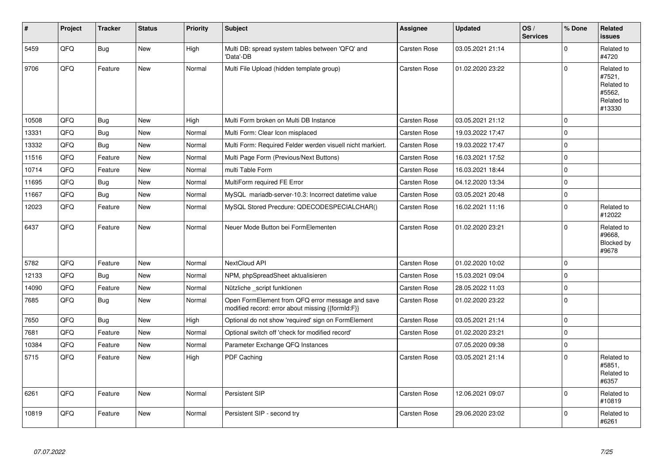| #     | Project | <b>Tracker</b> | <b>Status</b> | Priority | <b>Subject</b>                                                                                        | Assignee            | <b>Updated</b>   | OS/<br><b>Services</b> | % Done      | <b>Related</b><br><b>issues</b>                                      |
|-------|---------|----------------|---------------|----------|-------------------------------------------------------------------------------------------------------|---------------------|------------------|------------------------|-------------|----------------------------------------------------------------------|
| 5459  | QFQ     | <b>Bug</b>     | <b>New</b>    | High     | Multi DB: spread system tables between 'QFQ' and<br>'Data'-DB                                         | Carsten Rose        | 03.05.2021 21:14 |                        | $\mathbf 0$ | Related to<br>#4720                                                  |
| 9706  | QFQ     | Feature        | <b>New</b>    | Normal   | Multi File Upload (hidden template group)                                                             | <b>Carsten Rose</b> | 01.02.2020 23:22 |                        | $\mathbf 0$ | Related to<br>#7521,<br>Related to<br>#5562,<br>Related to<br>#13330 |
| 10508 | QFQ     | <b>Bug</b>     | <b>New</b>    | High     | Multi Form broken on Multi DB Instance                                                                | Carsten Rose        | 03.05.2021 21:12 |                        | $\mathbf 0$ |                                                                      |
| 13331 | QFQ     | <b>Bug</b>     | New           | Normal   | Multi Form: Clear Icon misplaced                                                                      | Carsten Rose        | 19.03.2022 17:47 |                        | $\pmb{0}$   |                                                                      |
| 13332 | QFQ     | <b>Bug</b>     | <b>New</b>    | Normal   | Multi Form: Required Felder werden visuell nicht markiert.                                            | <b>Carsten Rose</b> | 19.03.2022 17:47 |                        | $\mathbf 0$ |                                                                      |
| 11516 | QFQ     | Feature        | <b>New</b>    | Normal   | Multi Page Form (Previous/Next Buttons)                                                               | <b>Carsten Rose</b> | 16.03.2021 17:52 |                        | $\mathbf 0$ |                                                                      |
| 10714 | QFQ     | Feature        | New           | Normal   | multi Table Form                                                                                      | Carsten Rose        | 16.03.2021 18:44 |                        | $\mathbf 0$ |                                                                      |
| 11695 | QFQ     | <b>Bug</b>     | <b>New</b>    | Normal   | MultiForm required FE Error                                                                           | Carsten Rose        | 04.12.2020 13:34 |                        | $\mathbf 0$ |                                                                      |
| 11667 | QFQ     | Bug            | <b>New</b>    | Normal   | MySQL mariadb-server-10.3: Incorrect datetime value                                                   | <b>Carsten Rose</b> | 03.05.2021 20:48 |                        | $\mathbf 0$ |                                                                      |
| 12023 | QFQ     | Feature        | <b>New</b>    | Normal   | MySQL Stored Precdure: QDECODESPECIALCHAR()                                                           | <b>Carsten Rose</b> | 16.02.2021 11:16 |                        | $\Omega$    | Related to<br>#12022                                                 |
| 6437  | QFQ     | Feature        | <b>New</b>    | Normal   | Neuer Mode Button bei FormElementen                                                                   | <b>Carsten Rose</b> | 01.02.2020 23:21 |                        | $\Omega$    | Related to<br>#9668,<br>Blocked by<br>#9678                          |
| 5782  | QFQ     | Feature        | New           | Normal   | NextCloud API                                                                                         | Carsten Rose        | 01.02.2020 10:02 |                        | $\pmb{0}$   |                                                                      |
| 12133 | QFQ     | Bug            | <b>New</b>    | Normal   | NPM, phpSpreadSheet aktualisieren                                                                     | <b>Carsten Rose</b> | 15.03.2021 09:04 |                        | $\mathbf 0$ |                                                                      |
| 14090 | QFQ     | Feature        | <b>New</b>    | Normal   | Nützliche _script funktionen                                                                          | Carsten Rose        | 28.05.2022 11:03 |                        | $\mathbf 0$ |                                                                      |
| 7685  | QFQ     | <b>Bug</b>     | <b>New</b>    | Normal   | Open FormElement from QFQ error message and save<br>modified record: error about missing {{formId:F}} | Carsten Rose        | 01.02.2020 23:22 |                        | $\Omega$    |                                                                      |
| 7650  | QFQ     | <b>Bug</b>     | <b>New</b>    | High     | Optional do not show 'required' sign on FormElement                                                   | Carsten Rose        | 03.05.2021 21:14 |                        | $\mathbf 0$ |                                                                      |
| 7681  | QFQ     | Feature        | New           | Normal   | Optional switch off 'check for modified record'                                                       | Carsten Rose        | 01.02.2020 23:21 |                        | $\pmb{0}$   |                                                                      |
| 10384 | QFQ     | Feature        | <b>New</b>    | Normal   | Parameter Exchange QFQ Instances                                                                      |                     | 07.05.2020 09:38 |                        | $\mathbf 0$ |                                                                      |
| 5715  | QFQ     | Feature        | New           | High     | PDF Caching                                                                                           | Carsten Rose        | 03.05.2021 21:14 |                        | $\Omega$    | Related to<br>#5851,<br>Related to<br>#6357                          |
| 6261  | QFQ     | Feature        | <b>New</b>    | Normal   | Persistent SIP                                                                                        | Carsten Rose        | 12.06.2021 09:07 |                        | $\pmb{0}$   | Related to<br>#10819                                                 |
| 10819 | QFQ     | Feature        | New           | Normal   | Persistent SIP - second try                                                                           | Carsten Rose        | 29.06.2020 23:02 |                        | $\Omega$    | Related to<br>#6261                                                  |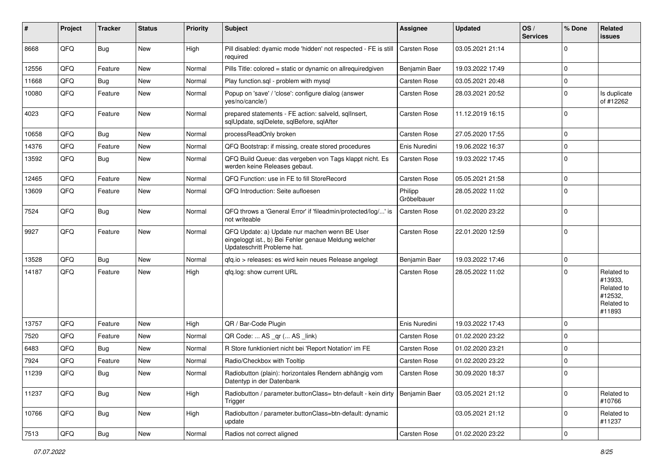| #     | Project | <b>Tracker</b> | <b>Status</b> | <b>Priority</b> | <b>Subject</b>                                                                                                                        | Assignee               | <b>Updated</b>   | OS/<br><b>Services</b> | % Done      | Related<br><b>issues</b>                                               |
|-------|---------|----------------|---------------|-----------------|---------------------------------------------------------------------------------------------------------------------------------------|------------------------|------------------|------------------------|-------------|------------------------------------------------------------------------|
| 8668  | QFQ     | <b>Bug</b>     | <b>New</b>    | High            | Pill disabled: dyamic mode 'hidden' not respected - FE is still<br>required                                                           | Carsten Rose           | 03.05.2021 21:14 |                        | $\Omega$    |                                                                        |
| 12556 | QFQ     | Feature        | New           | Normal          | Pills Title: colored = static or dynamic on allrequiredgiven                                                                          | Benjamin Baer          | 19.03.2022 17:49 |                        | $\mathbf 0$ |                                                                        |
| 11668 | QFQ     | Bug            | <b>New</b>    | Normal          | Play function.sql - problem with mysql                                                                                                | Carsten Rose           | 03.05.2021 20:48 |                        | $\mathbf 0$ |                                                                        |
| 10080 | QFQ     | Feature        | New           | Normal          | Popup on 'save' / 'close': configure dialog (answer<br>yes/no/cancle/)                                                                | Carsten Rose           | 28.03.2021 20:52 |                        | 0           | Is duplicate<br>of #12262                                              |
| 4023  | QFQ     | Feature        | New           | Normal          | prepared statements - FE action: salveld, sqllnsert,<br>sqlUpdate, sqlDelete, sqlBefore, sqlAfter                                     | Carsten Rose           | 11.12.2019 16:15 |                        | $\mathbf 0$ |                                                                        |
| 10658 | QFQ     | Bug            | <b>New</b>    | Normal          | processReadOnly broken                                                                                                                | Carsten Rose           | 27.05.2020 17:55 |                        | $\mathbf 0$ |                                                                        |
| 14376 | QFQ     | Feature        | <b>New</b>    | Normal          | QFQ Bootstrap: if missing, create stored procedures                                                                                   | Enis Nuredini          | 19.06.2022 16:37 |                        | 0           |                                                                        |
| 13592 | QFQ     | <b>Bug</b>     | New           | Normal          | QFQ Build Queue: das vergeben von Tags klappt nicht. Es<br>werden keine Releases gebaut.                                              | Carsten Rose           | 19.03.2022 17:45 |                        | $\mathbf 0$ |                                                                        |
| 12465 | QFQ     | Feature        | <b>New</b>    | Normal          | QFQ Function: use in FE to fill StoreRecord                                                                                           | Carsten Rose           | 05.05.2021 21:58 |                        | $\mathbf 0$ |                                                                        |
| 13609 | QFQ     | Feature        | New           | Normal          | QFQ Introduction: Seite aufloesen                                                                                                     | Philipp<br>Gröbelbauer | 28.05.2022 11:02 |                        | $\mathbf 0$ |                                                                        |
| 7524  | QFQ     | <b>Bug</b>     | <b>New</b>    | Normal          | QFQ throws a 'General Error' if 'fileadmin/protected/log/' is<br>not writeable                                                        | Carsten Rose           | 01.02.2020 23:22 |                        | $\mathbf 0$ |                                                                        |
| 9927  | QFQ     | Feature        | <b>New</b>    | Normal          | QFQ Update: a) Update nur machen wenn BE User<br>eingeloggt ist., b) Bei Fehler genaue Meldung welcher<br>Updateschritt Probleme hat. | Carsten Rose           | 22.01.2020 12:59 |                        | $\mathbf 0$ |                                                                        |
| 13528 | QFQ     | Bug            | <b>New</b>    | Normal          | gfg.io > releases: es wird kein neues Release angelegt                                                                                | Benjamin Baer          | 19.03.2022 17:46 |                        | $\mathbf 0$ |                                                                        |
| 14187 | QFQ     | Feature        | New           | High            | qfq.log: show current URL                                                                                                             | Carsten Rose           | 28.05.2022 11:02 |                        | $\mathbf 0$ | Related to<br>#13933,<br>Related to<br>#12532,<br>Related to<br>#11893 |
| 13757 | QFQ     | Feature        | <b>New</b>    | High            | QR / Bar-Code Plugin                                                                                                                  | Enis Nuredini          | 19.03.2022 17:43 |                        | $\mathbf 0$ |                                                                        |
| 7520  | QFQ     | Feature        | <b>New</b>    | Normal          | QR Code:  AS _qr ( AS _link)                                                                                                          | Carsten Rose           | 01.02.2020 23:22 |                        | $\Omega$    |                                                                        |
| 6483  | QFQ     | <b>Bug</b>     | <b>New</b>    | Normal          | R Store funktioniert nicht bei 'Report Notation' im FE                                                                                | Carsten Rose           | 01.02.2020 23:21 |                        | $\mathbf 0$ |                                                                        |
| 7924  | QFQ     | Feature        | <b>New</b>    | Normal          | Radio/Checkbox with Tooltip                                                                                                           | Carsten Rose           | 01.02.2020 23:22 |                        | $\mathbf 0$ |                                                                        |
| 11239 | QFQ     | <b>Bug</b>     | New           | Normal          | Radiobutton (plain): horizontales Rendern abhängig vom<br>Datentyp in der Datenbank                                                   | Carsten Rose           | 30.09.2020 18:37 |                        | $\Omega$    |                                                                        |
| 11237 | QFQ     | Bug            | New           | High            | Radiobutton / parameter.buttonClass= btn-default - kein dirty<br>Trigger                                                              | Benjamin Baer          | 03.05.2021 21:12 |                        | $\mathbf 0$ | Related to<br>#10766                                                   |
| 10766 | QFQ     | Bug            | New           | High            | Radiobutton / parameter.buttonClass=btn-default: dynamic<br>update                                                                    |                        | 03.05.2021 21:12 |                        | $\mathbf 0$ | Related to<br>#11237                                                   |
| 7513  | QFQ     | Bug            | New           | Normal          | Radios not correct aligned                                                                                                            | Carsten Rose           | 01.02.2020 23:22 |                        | $\pmb{0}$   |                                                                        |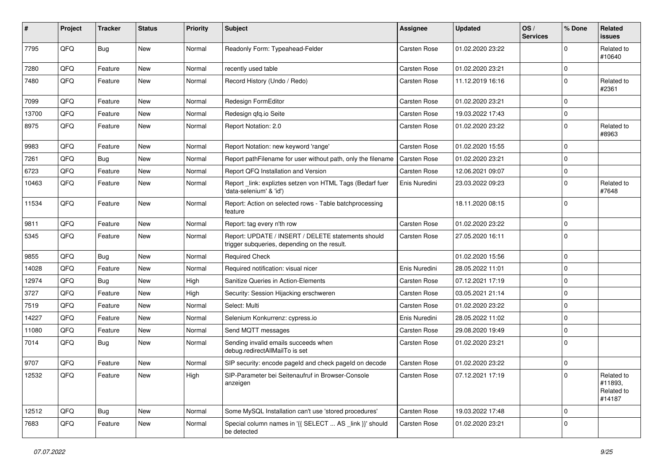| #     | Project | <b>Tracker</b> | <b>Status</b> | <b>Priority</b> | Subject                                                                                            | Assignee      | <b>Updated</b>   | OS/<br><b>Services</b> | % Done      | Related<br><b>issues</b>                      |
|-------|---------|----------------|---------------|-----------------|----------------------------------------------------------------------------------------------------|---------------|------------------|------------------------|-------------|-----------------------------------------------|
| 7795  | QFQ     | Bug            | <b>New</b>    | Normal          | Readonly Form: Typeahead-Felder                                                                    | Carsten Rose  | 01.02.2020 23:22 |                        | $\Omega$    | Related to<br>#10640                          |
| 7280  | QFQ     | Feature        | New           | Normal          | recently used table                                                                                | Carsten Rose  | 01.02.2020 23:21 |                        | 0           |                                               |
| 7480  | QFQ     | Feature        | <b>New</b>    | Normal          | Record History (Undo / Redo)                                                                       | Carsten Rose  | 11.12.2019 16:16 |                        | $\mathbf 0$ | Related to<br>#2361                           |
| 7099  | QFQ     | Feature        | New           | Normal          | Redesign FormEditor                                                                                | Carsten Rose  | 01.02.2020 23:21 |                        | $\mathbf 0$ |                                               |
| 13700 | QFQ     | Feature        | New           | Normal          | Redesign gfg.io Seite                                                                              | Carsten Rose  | 19.03.2022 17:43 |                        | 0           |                                               |
| 8975  | QFQ     | Feature        | New           | Normal          | Report Notation: 2.0                                                                               | Carsten Rose  | 01.02.2020 23:22 |                        | $\mathbf 0$ | Related to<br>#8963                           |
| 9983  | QFQ     | Feature        | <b>New</b>    | Normal          | Report Notation: new keyword 'range'                                                               | Carsten Rose  | 01.02.2020 15:55 |                        | $\mathbf 0$ |                                               |
| 7261  | QFQ     | <b>Bug</b>     | New           | Normal          | Report pathFilename for user without path, only the filename                                       | Carsten Rose  | 01.02.2020 23:21 |                        | $\Omega$    |                                               |
| 6723  | QFQ     | Feature        | <b>New</b>    | Normal          | Report QFQ Installation and Version                                                                | Carsten Rose  | 12.06.2021 09:07 |                        | $\mathbf 0$ |                                               |
| 10463 | QFQ     | Feature        | New           | Normal          | Report link: expliztes setzen von HTML Tags (Bedarf fuer<br>'data-selenium' & 'id')                | Enis Nuredini | 23.03.2022 09:23 |                        | 0           | Related to<br>#7648                           |
| 11534 | QFQ     | Feature        | <b>New</b>    | Normal          | Report: Action on selected rows - Table batchprocessing<br>feature                                 |               | 18.11.2020 08:15 |                        | $\mathbf 0$ |                                               |
| 9811  | QFQ     | Feature        | <b>New</b>    | Normal          | Report: tag every n'th row                                                                         | Carsten Rose  | 01.02.2020 23:22 |                        | $\mathbf 0$ |                                               |
| 5345  | QFQ     | Feature        | New           | Normal          | Report: UPDATE / INSERT / DELETE statements should<br>trigger subqueries, depending on the result. | Carsten Rose  | 27.05.2020 16:11 |                        | $\mathbf 0$ |                                               |
| 9855  | QFQ     | Bug            | New           | Normal          | <b>Required Check</b>                                                                              |               | 01.02.2020 15:56 |                        | $\mathbf 0$ |                                               |
| 14028 | QFQ     | Feature        | <b>New</b>    | Normal          | Required notification: visual nicer                                                                | Enis Nuredini | 28.05.2022 11:01 |                        | $\mathbf 0$ |                                               |
| 12974 | QFQ     | <b>Bug</b>     | New           | High            | <b>Sanitize Queries in Action-Elements</b>                                                         | Carsten Rose  | 07.12.2021 17:19 |                        | $\mathbf 0$ |                                               |
| 3727  | QFQ     | Feature        | New           | High            | Security: Session Hijacking erschweren                                                             | Carsten Rose  | 03.05.2021 21:14 |                        | $\mathbf 0$ |                                               |
| 7519  | QFQ     | Feature        | <b>New</b>    | Normal          | Select: Multi                                                                                      | Carsten Rose  | 01.02.2020 23:22 |                        | $\mathbf 0$ |                                               |
| 14227 | QFQ     | Feature        | New           | Normal          | Selenium Konkurrenz: cypress.io                                                                    | Enis Nuredini | 28.05.2022 11:02 |                        | $\mathbf 0$ |                                               |
| 11080 | QFQ     | Feature        | New           | Normal          | Send MQTT messages                                                                                 | Carsten Rose  | 29.08.2020 19:49 |                        | $\mathbf 0$ |                                               |
| 7014  | QFQ     | Bug            | New           | Normal          | Sending invalid emails succeeds when<br>debug.redirectAllMailTo is set                             | Carsten Rose  | 01.02.2020 23:21 |                        | $\mathbf 0$ |                                               |
| 9707  | QFQ     | Feature        | New           | Normal          | SIP security: encode pageld and check pageld on decode                                             | Carsten Rose  | 01.02.2020 23:22 |                        | $\mathbf 0$ |                                               |
| 12532 | QFQ     | Feature        | New           | High            | SIP-Parameter bei Seitenaufruf in Browser-Console<br>anzeigen                                      | Carsten Rose  | 07.12.2021 17:19 |                        | $\mathbf 0$ | Related to<br>#11893.<br>Related to<br>#14187 |
| 12512 | QFQ     | Bug            | New           | Normal          | Some MySQL Installation can't use 'stored procedures'                                              | Carsten Rose  | 19.03.2022 17:48 |                        | $\mathbf 0$ |                                               |
| 7683  | QFQ     | Feature        | New           | Normal          | Special column names in '{{ SELECT  AS _link }}' should<br>be detected                             | Carsten Rose  | 01.02.2020 23:21 |                        | $\mathbf 0$ |                                               |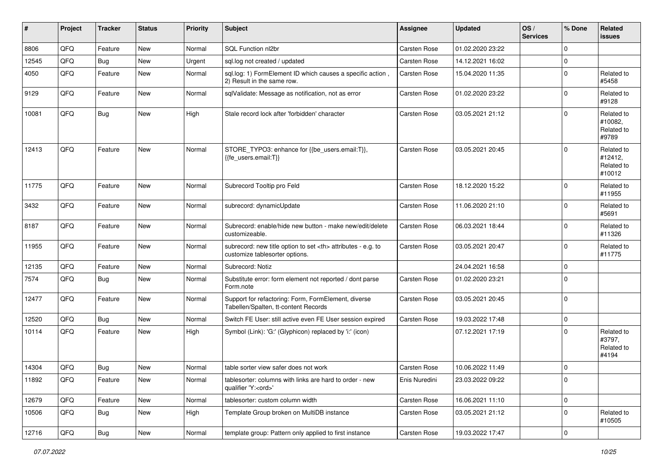| #     | Project | <b>Tracker</b> | <b>Status</b> | <b>Priority</b> | <b>Subject</b>                                                                                       | <b>Assignee</b>                                        | <b>Updated</b>   | OS/<br><b>Services</b> | % Done      | Related<br><b>issues</b>                      |                      |
|-------|---------|----------------|---------------|-----------------|------------------------------------------------------------------------------------------------------|--------------------------------------------------------|------------------|------------------------|-------------|-----------------------------------------------|----------------------|
| 8806  | QFQ     | Feature        | <b>New</b>    | Normal          | SQL Function nl2br                                                                                   | Carsten Rose                                           | 01.02.2020 23:22 |                        | $\mathbf 0$ |                                               |                      |
| 12545 | QFQ     | Bug            | <b>New</b>    | Urgent          | sql.log not created / updated                                                                        | Carsten Rose                                           | 14.12.2021 16:02 |                        | $\Omega$    |                                               |                      |
| 4050  | QFQ     | Feature        | New           | Normal          | sql.log: 1) FormElement ID which causes a specific action,<br>2) Result in the same row.             | Carsten Rose                                           | 15.04.2020 11:35 |                        | $\mathbf 0$ | Related to<br>#5458                           |                      |
| 9129  | QFQ     | Feature        | <b>New</b>    | Normal          | sqlValidate: Message as notification, not as error                                                   | Carsten Rose                                           | 01.02.2020 23:22 |                        | $\mathbf 0$ | Related to<br>#9128                           |                      |
| 10081 | QFQ     | Bug            | New           | High            | Stale record lock after 'forbidden' character                                                        | Carsten Rose                                           | 03.05.2021 21:12 |                        | $\mathbf 0$ | Related to<br>#10082,<br>Related to<br>#9789  |                      |
| 12413 | QFQ     | Feature        | <b>New</b>    | Normal          | STORE_TYPO3: enhance for {{be_users.email:T}},<br>{{fe_users.email:T}}                               | Carsten Rose                                           | 03.05.2021 20:45 |                        | $\Omega$    | Related to<br>#12412,<br>Related to<br>#10012 |                      |
| 11775 | QFQ     | Feature        | <b>New</b>    | Normal          | Subrecord Tooltip pro Feld                                                                           | Carsten Rose                                           | 18.12.2020 15:22 |                        | $\mathbf 0$ | Related to<br>#11955                          |                      |
| 3432  | QFQ     | Feature        | <b>New</b>    | Normal          | subrecord: dynamicUpdate                                                                             | Carsten Rose                                           | 11.06.2020 21:10 |                        | $\mathbf 0$ | Related to<br>#5691                           |                      |
| 8187  | QFQ     | Feature        | New           | Normal          | Subrecord: enable/hide new button - make new/edit/delete<br>customizeable.                           | Carsten Rose                                           | 06.03.2021 18:44 |                        | $\Omega$    | Related to<br>#11326                          |                      |
| 11955 | QFQ     | Feature        | <b>New</b>    | Normal          | subrecord: new title option to set <th> attributes - e.g. to<br/>customize tablesorter options.</th> | attributes - e.g. to<br>customize tablesorter options. | Carsten Rose     | 03.05.2021 20:47       |             | $\mathbf 0$                                   | Related to<br>#11775 |
| 12135 | QFQ     | Feature        | <b>New</b>    | Normal          | Subrecord: Notiz                                                                                     |                                                        | 24.04.2021 16:58 |                        | $\Omega$    |                                               |                      |
| 7574  | QFQ     | Bug            | <b>New</b>    | Normal          | Substitute error: form element not reported / dont parse<br>Form.note                                | Carsten Rose                                           | 01.02.2020 23:21 |                        | $\mathbf 0$ |                                               |                      |
| 12477 | QFQ     | Feature        | <b>New</b>    | Normal          | Support for refactoring: Form, FormElement, diverse<br>Tabellen/Spalten, tt-content Records          | Carsten Rose                                           | 03.05.2021 20:45 |                        | $\Omega$    |                                               |                      |
| 12520 | QFQ     | Bug            | <b>New</b>    | Normal          | Switch FE User: still active even FE User session expired                                            | Carsten Rose                                           | 19.03.2022 17:48 |                        | $\mathbf 0$ |                                               |                      |
| 10114 | QFQ     | Feature        | <b>New</b>    | High            | Symbol (Link): 'G:' (Glyphicon) replaced by 'i:' (icon)                                              |                                                        | 07.12.2021 17:19 |                        | $\Omega$    | Related to<br>#3797,<br>Related to<br>#4194   |                      |
| 14304 | QFQ     | Bug            | New           | Normal          | table sorter view safer does not work                                                                | Carsten Rose                                           | 10.06.2022 11:49 |                        | 0           |                                               |                      |
| 11892 | QFQ     | Feature        | New           | Normal          | tablesorter: columns with links are hard to order - new<br>qualifier 'Y: <ord>'</ord>                | Enis Nuredini                                          | 23.03.2022 09:22 |                        | 0           |                                               |                      |
| 12679 | QFQ     | Feature        | New           | Normal          | tablesorter: custom column width                                                                     | Carsten Rose                                           | 16.06.2021 11:10 |                        | $\mathbf 0$ |                                               |                      |
| 10506 | QFQ     | <b>Bug</b>     | New           | High            | Template Group broken on MultiDB instance                                                            | Carsten Rose                                           | 03.05.2021 21:12 |                        | $\mathbf 0$ | Related to<br>#10505                          |                      |
| 12716 | QFQ     | Bug            | New           | Normal          | template group: Pattern only applied to first instance                                               | Carsten Rose                                           | 19.03.2022 17:47 |                        | $\pmb{0}$   |                                               |                      |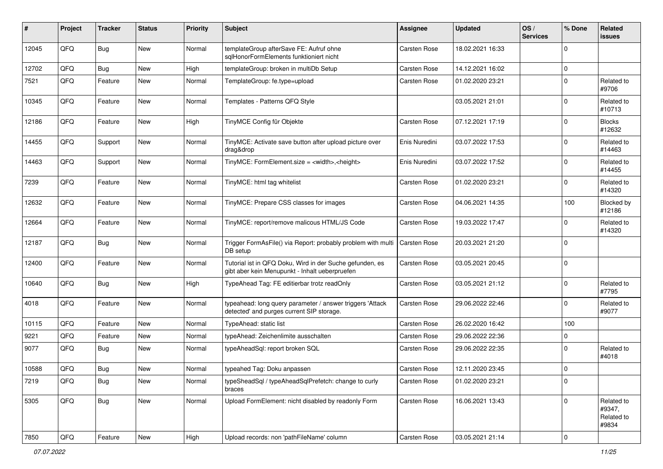| #     | Project        | <b>Tracker</b> | <b>Status</b> | <b>Priority</b> | <b>Subject</b>                                                                                             | <b>Assignee</b> | <b>Updated</b>   | OS/<br><b>Services</b> | % Done         | <b>Related</b><br><b>issues</b>             |
|-------|----------------|----------------|---------------|-----------------|------------------------------------------------------------------------------------------------------------|-----------------|------------------|------------------------|----------------|---------------------------------------------|
| 12045 | QFQ            | Bug            | <b>New</b>    | Normal          | templateGroup afterSave FE: Aufruf ohne<br>sglHonorFormElements funktioniert nicht                         | Carsten Rose    | 18.02.2021 16:33 |                        | $\mathbf 0$    |                                             |
| 12702 | QFQ            | <b>Bug</b>     | <b>New</b>    | High            | templateGroup: broken in multiDb Setup                                                                     | Carsten Rose    | 14.12.2021 16:02 |                        | $\pmb{0}$      |                                             |
| 7521  | QFQ            | Feature        | <b>New</b>    | Normal          | TemplateGroup: fe.type=upload                                                                              | Carsten Rose    | 01.02.2020 23:21 |                        | $\mathbf 0$    | Related to<br>#9706                         |
| 10345 | QFQ            | Feature        | New           | Normal          | Templates - Patterns QFQ Style                                                                             |                 | 03.05.2021 21:01 |                        | $\mathbf 0$    | Related to<br>#10713                        |
| 12186 | QFQ            | Feature        | <b>New</b>    | High            | TinyMCE Config für Objekte                                                                                 | Carsten Rose    | 07.12.2021 17:19 |                        | $\Omega$       | <b>Blocks</b><br>#12632                     |
| 14455 | QFQ            | Support        | New           | Normal          | TinyMCE: Activate save button after upload picture over<br>drag&drop                                       | Enis Nuredini   | 03.07.2022 17:53 |                        | $\mathbf 0$    | Related to<br>#14463                        |
| 14463 | QFQ            | Support        | <b>New</b>    | Normal          | TinyMCE: FormElement.size = <width>,<height></height></width>                                              | Enis Nuredini   | 03.07.2022 17:52 |                        | $\mathbf 0$    | Related to<br>#14455                        |
| 7239  | QFQ            | Feature        | New           | Normal          | TinyMCE: html tag whitelist                                                                                | Carsten Rose    | 01.02.2020 23:21 |                        | $\mathbf 0$    | Related to<br>#14320                        |
| 12632 | QFQ            | Feature        | <b>New</b>    | Normal          | TinyMCE: Prepare CSS classes for images                                                                    | Carsten Rose    | 04.06.2021 14:35 |                        | 100            | Blocked by<br>#12186                        |
| 12664 | QFQ            | Feature        | <b>New</b>    | Normal          | TinyMCE: report/remove malicous HTML/JS Code                                                               | Carsten Rose    | 19.03.2022 17:47 |                        | $\mathbf 0$    | Related to<br>#14320                        |
| 12187 | QFQ            | Bug            | <b>New</b>    | Normal          | Trigger FormAsFile() via Report: probably problem with multi<br>DB setup                                   | Carsten Rose    | 20.03.2021 21:20 |                        | $\mathbf 0$    |                                             |
| 12400 | QFQ            | Feature        | <b>New</b>    | Normal          | Tutorial ist in QFQ Doku, Wird in der Suche gefunden, es<br>gibt aber kein Menupunkt - Inhalt ueberpruefen | Carsten Rose    | 03.05.2021 20:45 |                        | $\mathbf 0$    |                                             |
| 10640 | QFQ            | Bug            | New           | High            | TypeAhead Tag: FE editierbar trotz readOnly                                                                | Carsten Rose    | 03.05.2021 21:12 |                        | $\mathbf 0$    | Related to<br>#7795                         |
| 4018  | QFQ            | Feature        | <b>New</b>    | Normal          | typeahead: long query parameter / answer triggers 'Attack<br>detected' and purges current SIP storage.     | Carsten Rose    | 29.06.2022 22:46 |                        | $\mathbf 0$    | Related to<br>#9077                         |
| 10115 | QFQ            | Feature        | New           | Normal          | TypeAhead: static list                                                                                     | Carsten Rose    | 26.02.2020 16:42 |                        | 100            |                                             |
| 9221  | QFQ            | Feature        | <b>New</b>    | Normal          | typeAhead: Zeichenlimite ausschalten                                                                       | Carsten Rose    | 29.06.2022 22:36 |                        | $\mathbf 0$    |                                             |
| 9077  | QFQ            | Bug            | New           | Normal          | typeAheadSql: report broken SQL                                                                            | Carsten Rose    | 29.06.2022 22:35 |                        | $\mathbf 0$    | Related to<br>#4018                         |
| 10588 | QFQ            | <b>Bug</b>     | New           | Normal          | typeahed Tag: Doku anpassen                                                                                | Carsten Rose    | 12.11.2020 23:45 |                        | 0              |                                             |
| 7219  | QFO            | <b>Bug</b>     | New           | Normal          | typeSheadSql / typeAheadSqlPrefetch: change to curly<br>braces                                             | Carsten Rose    | 01.02.2020 23:21 |                        | 0              |                                             |
| 5305  | QFQ            | Bug            | New           | Normal          | Upload FormElement: nicht disabled by readonly Form                                                        | Carsten Rose    | 16.06.2021 13:43 |                        | $\mathbf 0$    | Related to<br>#9347,<br>Related to<br>#9834 |
| 7850  | $\mathsf{QFQ}$ | Feature        | New           | High            | Upload records: non 'pathFileName' column                                                                  | Carsten Rose    | 03.05.2021 21:14 |                        | $\overline{0}$ |                                             |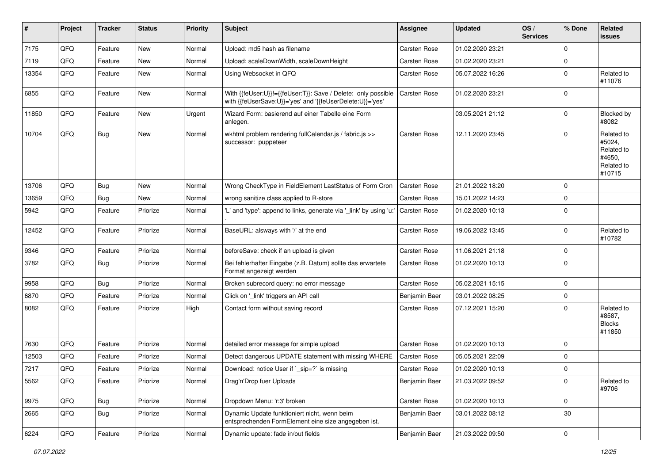| #     | Project | <b>Tracker</b> | <b>Status</b> | <b>Priority</b> | <b>Subject</b>                                                                                                             | <b>Assignee</b> | <b>Updated</b>   | OS/<br><b>Services</b> | % Done         | Related<br><b>issues</b>                                             |
|-------|---------|----------------|---------------|-----------------|----------------------------------------------------------------------------------------------------------------------------|-----------------|------------------|------------------------|----------------|----------------------------------------------------------------------|
| 7175  | QFQ     | Feature        | <b>New</b>    | Normal          | Upload: md5 hash as filename                                                                                               | Carsten Rose    | 01.02.2020 23:21 |                        | $\mathbf 0$    |                                                                      |
| 7119  | QFQ     | Feature        | New           | Normal          | Upload: scaleDownWidth, scaleDownHeight                                                                                    | Carsten Rose    | 01.02.2020 23:21 |                        | $\pmb{0}$      |                                                                      |
| 13354 | QFQ     | Feature        | New           | Normal          | Using Websocket in QFQ                                                                                                     | Carsten Rose    | 05.07.2022 16:26 |                        | $\mathbf 0$    | Related to<br>#11076                                                 |
| 6855  | QFQ     | Feature        | New           | Normal          | With {{feUser:U}}!={{feUser:T}}: Save / Delete: only possible<br>with {{feUserSave:U}}='yes' and '{{feUserDelete:U}}='yes' | Carsten Rose    | 01.02.2020 23:21 |                        | $\mathbf 0$    |                                                                      |
| 11850 | QFQ     | Feature        | <b>New</b>    | Urgent          | Wizard Form: basierend auf einer Tabelle eine Form<br>anlegen.                                                             |                 | 03.05.2021 21:12 |                        | $\mathbf 0$    | <b>Blocked by</b><br>#8082                                           |
| 10704 | QFQ     | Bug            | New           | Normal          | wkhtml problem rendering fullCalendar.js / fabric.js >><br>successor: puppeteer                                            | Carsten Rose    | 12.11.2020 23:45 |                        | $\mathbf 0$    | Related to<br>#5024,<br>Related to<br>#4650,<br>Related to<br>#10715 |
| 13706 | QFQ     | <b>Bug</b>     | <b>New</b>    | Normal          | Wrong CheckType in FieldElement LastStatus of Form Cron                                                                    | Carsten Rose    | 21.01.2022 18:20 |                        | $\mathbf 0$    |                                                                      |
| 13659 | QFQ     | Bug            | New           | Normal          | wrong sanitize class applied to R-store                                                                                    | Carsten Rose    | 15.01.2022 14:23 |                        | $\mathbf 0$    |                                                                      |
| 5942  | QFQ     | Feature        | Priorize      | Normal          | 'L' and 'type': append to links, generate via '_link' by using 'u:'                                                        | Carsten Rose    | 01.02.2020 10:13 |                        | $\mathbf 0$    |                                                                      |
| 12452 | QFQ     | Feature        | Priorize      | Normal          | BaseURL: alsways with '/' at the end                                                                                       | Carsten Rose    | 19.06.2022 13:45 |                        | $\mathbf 0$    | Related to<br>#10782                                                 |
| 9346  | QFQ     | Feature        | Priorize      | Normal          | beforeSave: check if an upload is given                                                                                    | Carsten Rose    | 11.06.2021 21:18 |                        | $\pmb{0}$      |                                                                      |
| 3782  | QFQ     | Bug            | Priorize      | Normal          | Bei fehlerhafter Eingabe (z.B. Datum) sollte das erwartete<br>Format angezeigt werden                                      | Carsten Rose    | 01.02.2020 10:13 |                        | $\mathbf 0$    |                                                                      |
| 9958  | QFQ     | Bug            | Priorize      | Normal          | Broken subrecord query: no error message                                                                                   | Carsten Rose    | 05.02.2021 15:15 |                        | 0              |                                                                      |
| 6870  | QFQ     | Feature        | Priorize      | Normal          | Click on '_link' triggers an API call                                                                                      | Benjamin Baer   | 03.01.2022 08:25 |                        | $\pmb{0}$      |                                                                      |
| 8082  | QFQ     | Feature        | Priorize      | High            | Contact form without saving record                                                                                         | Carsten Rose    | 07.12.2021 15:20 |                        | $\Omega$       | Related to<br>#8587,<br><b>Blocks</b><br>#11850                      |
| 7630  | QFQ     | Feature        | Priorize      | Normal          | detailed error message for simple upload                                                                                   | Carsten Rose    | 01.02.2020 10:13 |                        | $\mathbf 0$    |                                                                      |
| 12503 | QFQ     | Feature        | Priorize      | Normal          | Detect dangerous UPDATE statement with missing WHERE                                                                       | Carsten Rose    | 05.05.2021 22:09 |                        | $\mathbf 0$    |                                                                      |
| 7217  | QFQ     | Feature        | Priorize      | Normal          | Download: notice User if `_sip=?` is missing                                                                               | Carsten Rose    | 01.02.2020 10:13 |                        | 0              |                                                                      |
| 5562  | QFO     | Feature        | Priorize      | Normal          | Drag'n'Drop fuer Uploads                                                                                                   | Benjamin Baer   | 21.03.2022 09:52 |                        | 0              | Related to<br>#9706                                                  |
| 9975  | QFQ     | Bug            | Priorize      | Normal          | Dropdown Menu: 'r:3' broken                                                                                                | Carsten Rose    | 01.02.2020 10:13 |                        | $\mathbf 0$    |                                                                      |
| 2665  | QFQ     | <b>Bug</b>     | Priorize      | Normal          | Dynamic Update funktioniert nicht, wenn beim<br>entsprechenden FormElement eine size angegeben ist.                        | Benjamin Baer   | 03.01.2022 08:12 |                        | 30             |                                                                      |
| 6224  | QFG     | Feature        | Priorize      | Normal          | Dynamic update: fade in/out fields                                                                                         | Benjamin Baer   | 21.03.2022 09:50 |                        | $\overline{0}$ |                                                                      |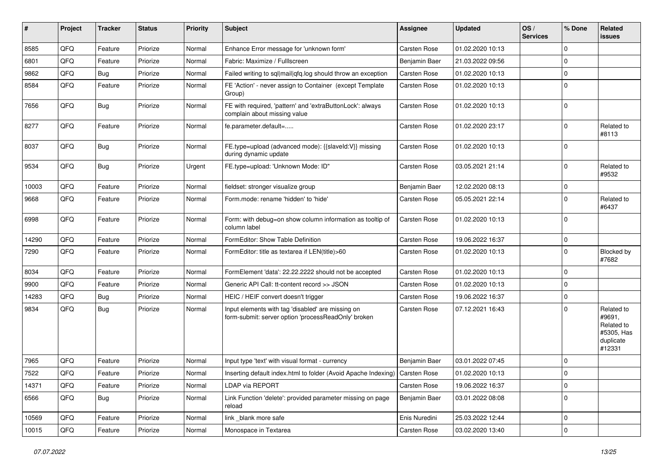| ∦     | Project | <b>Tracker</b> | <b>Status</b> | <b>Priority</b> | <b>Subject</b>                                                                                           | Assignee      | <b>Updated</b>   | OS/<br><b>Services</b> | % Done      | Related<br>issues                                                       |
|-------|---------|----------------|---------------|-----------------|----------------------------------------------------------------------------------------------------------|---------------|------------------|------------------------|-------------|-------------------------------------------------------------------------|
| 8585  | QFQ     | Feature        | Priorize      | Normal          | Enhance Error message for 'unknown form'                                                                 | Carsten Rose  | 01.02.2020 10:13 |                        | $\Omega$    |                                                                         |
| 6801  | QFQ     | Feature        | Priorize      | Normal          | Fabric: Maximize / Fulllscreen                                                                           | Benjamin Baer | 21.03.2022 09:56 |                        | $\Omega$    |                                                                         |
| 9862  | QFQ     | <b>Bug</b>     | Priorize      | Normal          | Failed writing to sql mail qfq.log should throw an exception                                             | Carsten Rose  | 01.02.2020 10:13 |                        | $\Omega$    |                                                                         |
| 8584  | QFQ     | Feature        | Priorize      | Normal          | FE 'Action' - never assign to Container (except Template<br>Group)                                       | Carsten Rose  | 01.02.2020 10:13 |                        | $\Omega$    |                                                                         |
| 7656  | QFQ     | Bug            | Priorize      | Normal          | FE with required, 'pattern' and 'extraButtonLock': always<br>complain about missing value                | Carsten Rose  | 01.02.2020 10:13 |                        | $\Omega$    |                                                                         |
| 8277  | QFQ     | Feature        | Priorize      | Normal          | fe.parameter.default=                                                                                    | Carsten Rose  | 01.02.2020 23:17 |                        | $\Omega$    | Related to<br>#8113                                                     |
| 8037  | QFQ     | Bug            | Priorize      | Normal          | FE.type=upload (advanced mode): {{slaveld:V}} missing<br>during dynamic update                           | Carsten Rose  | 01.02.2020 10:13 |                        | $\Omega$    |                                                                         |
| 9534  | QFQ     | Bug            | Priorize      | Urgent          | FE.type=upload: 'Unknown Mode: ID"                                                                       | Carsten Rose  | 03.05.2021 21:14 |                        | $\Omega$    | Related to<br>#9532                                                     |
| 10003 | QFQ     | Feature        | Priorize      | Normal          | fieldset: stronger visualize group                                                                       | Benjamin Baer | 12.02.2020 08:13 |                        | $\Omega$    |                                                                         |
| 9668  | QFQ     | Feature        | Priorize      | Normal          | Form.mode: rename 'hidden' to 'hide'                                                                     | Carsten Rose  | 05.05.2021 22:14 |                        | $\Omega$    | Related to<br>#6437                                                     |
| 6998  | QFQ     | Feature        | Priorize      | Normal          | Form: with debug=on show column information as tooltip of<br>column label                                | Carsten Rose  | 01.02.2020 10:13 |                        | $\Omega$    |                                                                         |
| 14290 | QFQ     | Feature        | Priorize      | Normal          | FormEditor: Show Table Definition                                                                        | Carsten Rose  | 19.06.2022 16:37 |                        | $\mathbf 0$ |                                                                         |
| 7290  | QFQ     | Feature        | Priorize      | Normal          | FormEditor: title as textarea if LEN(title)>60                                                           | Carsten Rose  | 01.02.2020 10:13 |                        | $\Omega$    | <b>Blocked by</b><br>#7682                                              |
| 8034  | QFQ     | Feature        | Priorize      | Normal          | FormElement 'data': 22.22.2222 should not be accepted                                                    | Carsten Rose  | 01.02.2020 10:13 |                        | $\Omega$    |                                                                         |
| 9900  | QFQ     | Feature        | Priorize      | Normal          | Generic API Call: tt-content record >> JSON                                                              | Carsten Rose  | 01.02.2020 10:13 |                        | $\Omega$    |                                                                         |
| 14283 | QFQ     | Bug            | Priorize      | Normal          | HEIC / HEIF convert doesn't trigger                                                                      | Carsten Rose  | 19.06.2022 16:37 |                        | $\Omega$    |                                                                         |
| 9834  | QFQ     | <b>Bug</b>     | Priorize      | Normal          | Input elements with tag 'disabled' are missing on<br>form-submit: server option 'processReadOnly' broken | Carsten Rose  | 07.12.2021 16:43 |                        | $\Omega$    | Related to<br>#9691,<br>Related to<br>#5305, Has<br>duplicate<br>#12331 |
| 7965  | QFQ     | Feature        | Priorize      | Normal          | Input type 'text' with visual format - currency                                                          | Benjamin Baer | 03.01.2022 07:45 |                        | $\Omega$    |                                                                         |
| 7522  | QFQ     | Feature        | Priorize      | Normal          | Inserting default index.html to folder (Avoid Apache Indexing)                                           | Carsten Rose  | 01.02.2020 10:13 |                        | 0           |                                                                         |
| 14371 | QFQ     | Feature        | Priorize      | Normal          | LDAP via REPORT                                                                                          | Carsten Rose  | 19.06.2022 16:37 |                        | $\mathbf 0$ |                                                                         |
| 6566  | QFQ     | Bug            | Priorize      | Normal          | Link Function 'delete': provided parameter missing on page<br>reload                                     | Benjamin Baer | 03.01.2022 08:08 |                        | $\mathbf 0$ |                                                                         |
| 10569 | QFQ     | Feature        | Priorize      | Normal          | link_blank more safe                                                                                     | Enis Nuredini | 25.03.2022 12:44 |                        | 0           |                                                                         |
| 10015 | QFQ     | Feature        | Priorize      | Normal          | Monospace in Textarea                                                                                    | Carsten Rose  | 03.02.2020 13:40 |                        | $\pmb{0}$   |                                                                         |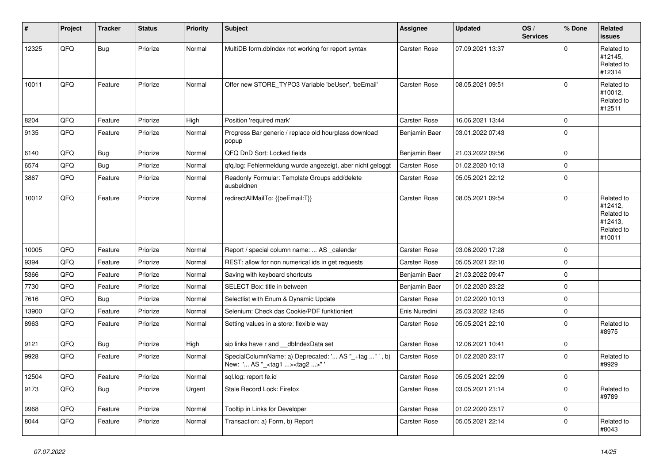| ∦     | Project | <b>Tracker</b> | <b>Status</b> | <b>Priority</b> | <b>Subject</b>                                                                                    | <b>Assignee</b>     | <b>Updated</b>   | OS/<br><b>Services</b> | % Done      | Related<br><b>issues</b>                                               |
|-------|---------|----------------|---------------|-----------------|---------------------------------------------------------------------------------------------------|---------------------|------------------|------------------------|-------------|------------------------------------------------------------------------|
| 12325 | QFQ     | Bug            | Priorize      | Normal          | MultiDB form.dblndex not working for report syntax                                                | <b>Carsten Rose</b> | 07.09.2021 13:37 |                        | $\Omega$    | Related to<br>#12145,<br>Related to<br>#12314                          |
| 10011 | QFQ     | Feature        | Priorize      | Normal          | Offer new STORE_TYPO3 Variable 'beUser', 'beEmail'                                                | Carsten Rose        | 08.05.2021 09:51 |                        | $\mathbf 0$ | Related to<br>#10012,<br>Related to<br>#12511                          |
| 8204  | QFQ     | Feature        | Priorize      | High            | Position 'required mark'                                                                          | Carsten Rose        | 16.06.2021 13:44 |                        | $\mathbf 0$ |                                                                        |
| 9135  | QFQ     | Feature        | Priorize      | Normal          | Progress Bar generic / replace old hourglass download<br>popup                                    | Benjamin Baer       | 03.01.2022 07:43 |                        | $\mathbf 0$ |                                                                        |
| 6140  | QFQ     | Bug            | Priorize      | Normal          | QFQ DnD Sort: Locked fields                                                                       | Benjamin Baer       | 21.03.2022 09:56 |                        | $\mathbf 0$ |                                                                        |
| 6574  | QFQ     | <b>Bug</b>     | Priorize      | Normal          | qfq.log: Fehlermeldung wurde angezeigt, aber nicht geloggt                                        | Carsten Rose        | 01.02.2020 10:13 |                        | $\pmb{0}$   |                                                                        |
| 3867  | QFQ     | Feature        | Priorize      | Normal          | Readonly Formular: Template Groups add/delete<br>ausbeldnen                                       | Carsten Rose        | 05.05.2021 22:12 |                        | $\mathbf 0$ |                                                                        |
| 10012 | QFQ     | Feature        | Priorize      | Normal          | redirectAllMailTo: {{beEmail:T}}                                                                  | <b>Carsten Rose</b> | 08.05.2021 09:54 |                        | $\mathbf 0$ | Related to<br>#12412,<br>Related to<br>#12413,<br>Related to<br>#10011 |
| 10005 | QFQ     | Feature        | Priorize      | Normal          | Report / special column name:  AS calendar                                                        | Carsten Rose        | 03.06.2020 17:28 |                        | $\mathbf 0$ |                                                                        |
| 9394  | QFQ     | Feature        | Priorize      | Normal          | REST: allow for non numerical ids in get requests                                                 | Carsten Rose        | 05.05.2021 22:10 |                        | $\mathbf 0$ |                                                                        |
| 5366  | QFQ     | Feature        | Priorize      | Normal          | Saving with keyboard shortcuts                                                                    | Benjamin Baer       | 21.03.2022 09:47 |                        | $\mathbf 0$ |                                                                        |
| 7730  | QFQ     | Feature        | Priorize      | Normal          | SELECT Box: title in between                                                                      | Benjamin Baer       | 01.02.2020 23:22 |                        | $\pmb{0}$   |                                                                        |
| 7616  | QFQ     | <b>Bug</b>     | Priorize      | Normal          | Selectlist with Enum & Dynamic Update                                                             | Carsten Rose        | 01.02.2020 10:13 |                        | $\mathbf 0$ |                                                                        |
| 13900 | QFQ     | Feature        | Priorize      | Normal          | Selenium: Check das Cookie/PDF funktioniert                                                       | Enis Nuredini       | 25.03.2022 12:45 |                        | $\pmb{0}$   |                                                                        |
| 8963  | QFQ     | Feature        | Priorize      | Normal          | Setting values in a store: flexible way                                                           | <b>Carsten Rose</b> | 05.05.2021 22:10 |                        | $\pmb{0}$   | Related to<br>#8975                                                    |
| 9121  | QFQ     | Bug            | Priorize      | High            | sip links have r and __dbIndexData set                                                            | <b>Carsten Rose</b> | 12.06.2021 10:41 |                        | $\pmb{0}$   |                                                                        |
| 9928  | QFQ     | Feature        | Priorize      | Normal          | SpecialColumnName: a) Deprecated: ' AS "_+tag " ', b)<br>New: ' AS "_ <tag1><tag2>"</tag2></tag1> | <b>Carsten Rose</b> | 01.02.2020 23:17 |                        | $\mathbf 0$ | Related to<br>#9929                                                    |
| 12504 | QFQ     | Feature        | Priorize      | Normal          | sql.log: report fe.id                                                                             | Carsten Rose        | 05.05.2021 22:09 |                        | $\pmb{0}$   |                                                                        |
| 9173  | QFQ     | Bug            | Priorize      | Urgent          | Stale Record Lock: Firefox                                                                        | Carsten Rose        | 03.05.2021 21:14 |                        | $\mathbf 0$ | Related to<br>#9789                                                    |
| 9968  | QFQ     | Feature        | Priorize      | Normal          | Tooltip in Links for Developer                                                                    | Carsten Rose        | 01.02.2020 23:17 |                        | $\pmb{0}$   |                                                                        |
| 8044  | QFQ     | Feature        | Priorize      | Normal          | Transaction: a) Form, b) Report                                                                   | Carsten Rose        | 05.05.2021 22:14 |                        | $\mathbf 0$ | Related to<br>#8043                                                    |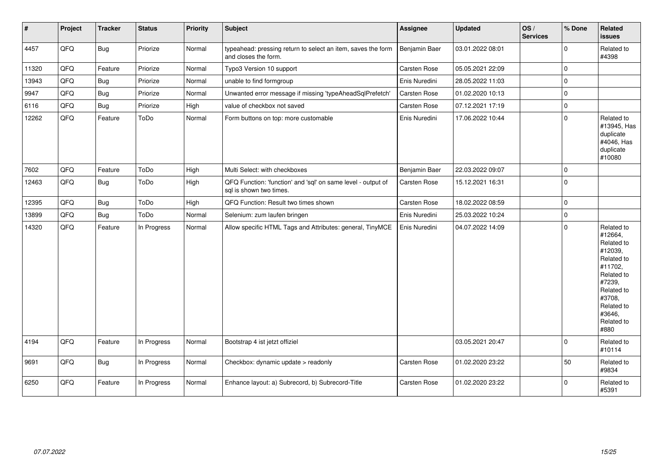| $\vert$ # | Project | <b>Tracker</b> | <b>Status</b> | Priority | <b>Subject</b>                                                                          | Assignee            | <b>Updated</b>   | OS/<br><b>Services</b> | % Done      | Related<br><b>issues</b>                                                                                                                                              |
|-----------|---------|----------------|---------------|----------|-----------------------------------------------------------------------------------------|---------------------|------------------|------------------------|-------------|-----------------------------------------------------------------------------------------------------------------------------------------------------------------------|
| 4457      | QFQ     | Bug            | Priorize      | Normal   | typeahead: pressing return to select an item, saves the form<br>and closes the form.    | Benjamin Baer       | 03.01.2022 08:01 |                        | $\mathbf 0$ | Related to<br>#4398                                                                                                                                                   |
| 11320     | QFQ     | Feature        | Priorize      | Normal   | Typo3 Version 10 support                                                                | Carsten Rose        | 05.05.2021 22:09 |                        | $\pmb{0}$   |                                                                                                                                                                       |
| 13943     | QFQ     | <b>Bug</b>     | Priorize      | Normal   | unable to find formgroup                                                                | Enis Nuredini       | 28.05.2022 11:03 |                        | $\mathbf 0$ |                                                                                                                                                                       |
| 9947      | QFQ     | Bug            | Priorize      | Normal   | Unwanted error message if missing 'typeAheadSqlPrefetch'                                | <b>Carsten Rose</b> | 01.02.2020 10:13 |                        | $\pmb{0}$   |                                                                                                                                                                       |
| 6116      | QFQ     | Bug            | Priorize      | High     | value of checkbox not saved                                                             | Carsten Rose        | 07.12.2021 17:19 |                        | $\mathbf 0$ |                                                                                                                                                                       |
| 12262     | QFQ     | Feature        | ToDo          | Normal   | Form buttons on top: more customable                                                    | Enis Nuredini       | 17.06.2022 10:44 |                        | $\mathbf 0$ | Related to<br>#13945, Has<br>duplicate<br>#4046, Has<br>duplicate<br>#10080                                                                                           |
| 7602      | QFQ     | Feature        | ToDo          | High     | Multi Select: with checkboxes                                                           | Benjamin Baer       | 22.03.2022 09:07 |                        | $\mathbf 0$ |                                                                                                                                                                       |
| 12463     | QFQ     | Bug            | ToDo          | High     | QFQ Function: 'function' and 'sql' on same level - output of<br>sal is shown two times. | <b>Carsten Rose</b> | 15.12.2021 16:31 |                        | $\mathbf 0$ |                                                                                                                                                                       |
| 12395     | QFQ     | Bug            | ToDo          | High     | QFQ Function: Result two times shown                                                    | Carsten Rose        | 18.02.2022 08:59 |                        | $\mathbf 0$ |                                                                                                                                                                       |
| 13899     | QFQ     | Bug            | ToDo          | Normal   | Selenium: zum laufen bringen                                                            | Enis Nuredini       | 25.03.2022 10:24 |                        | $\mathbf 0$ |                                                                                                                                                                       |
| 14320     | QFQ     | Feature        | In Progress   | Normal   | Allow specific HTML Tags and Attributes: general, TinyMCE                               | Enis Nuredini       | 04.07.2022 14:09 |                        | $\pmb{0}$   | Related to<br>#12664,<br>Related to<br>#12039,<br>Related to<br>#11702,<br>Related to<br>#7239,<br>Related to<br>#3708,<br>Related to<br>#3646,<br>Related to<br>#880 |
| 4194      | QFQ     | Feature        | In Progress   | Normal   | Bootstrap 4 ist jetzt offiziel                                                          |                     | 03.05.2021 20:47 |                        | $\mathbf 0$ | Related to<br>#10114                                                                                                                                                  |
| 9691      | QFQ     | <b>Bug</b>     | In Progress   | Normal   | Checkbox: dynamic update > readonly                                                     | Carsten Rose        | 01.02.2020 23:22 |                        | 50          | Related to<br>#9834                                                                                                                                                   |
| 6250      | QFQ     | Feature        | In Progress   | Normal   | Enhance layout: a) Subrecord, b) Subrecord-Title                                        | Carsten Rose        | 01.02.2020 23:22 |                        | $\mathbf 0$ | Related to<br>#5391                                                                                                                                                   |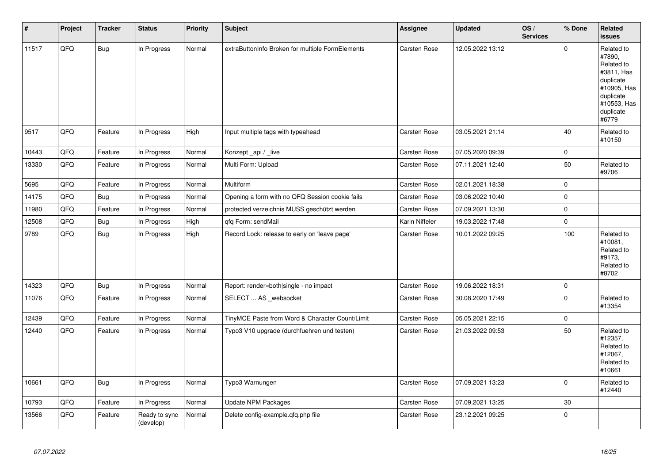| $\vert$ # | Project | <b>Tracker</b> | <b>Status</b>              | Priority | <b>Subject</b>                                   | Assignee       | <b>Updated</b>   | OS/<br><b>Services</b> | % Done      | Related<br><b>issues</b>                                                                                                       |
|-----------|---------|----------------|----------------------------|----------|--------------------------------------------------|----------------|------------------|------------------------|-------------|--------------------------------------------------------------------------------------------------------------------------------|
| 11517     | QFO     | Bug            | In Progress                | Normal   | extraButtonInfo Broken for multiple FormElements | Carsten Rose   | 12.05.2022 13:12 |                        | $\mathbf 0$ | Related to<br>#7890,<br>Related to<br>#3811, Has<br>duplicate<br>#10905, Has<br>duplicate<br>#10553, Has<br>duplicate<br>#6779 |
| 9517      | QFQ     | Feature        | In Progress                | High     | Input multiple tags with typeahead               | Carsten Rose   | 03.05.2021 21:14 |                        | 40          | Related to<br>#10150                                                                                                           |
| 10443     | QFQ     | Feature        | In Progress                | Normal   | Konzept_api / _live                              | Carsten Rose   | 07.05.2020 09:39 |                        | $\mathbf 0$ |                                                                                                                                |
| 13330     | QFQ     | Feature        | In Progress                | Normal   | Multi Form: Upload                               | Carsten Rose   | 07.11.2021 12:40 |                        | 50          | Related to<br>#9706                                                                                                            |
| 5695      | QFQ     | Feature        | In Progress                | Normal   | Multiform                                        | Carsten Rose   | 02.01.2021 18:38 |                        | $\pmb{0}$   |                                                                                                                                |
| 14175     | QFQ     | <b>Bug</b>     | In Progress                | Normal   | Opening a form with no QFQ Session cookie fails  | Carsten Rose   | 03.06.2022 10:40 |                        | $\mathbf 0$ |                                                                                                                                |
| 11980     | QFQ     | Feature        | In Progress                | Normal   | protected verzeichnis MUSS geschützt werden      | Carsten Rose   | 07.09.2021 13:30 |                        | $\pmb{0}$   |                                                                                                                                |
| 12508     | QFQ     | <b>Bug</b>     | In Progress                | High     | gfg Form: sendMail                               | Karin Niffeler | 19.03.2022 17:48 |                        | $\mathbf 0$ |                                                                                                                                |
| 9789      | QFQ     | <b>Bug</b>     | In Progress                | High     | Record Lock: release to early on 'leave page'    | Carsten Rose   | 10.01.2022 09:25 |                        | 100         | Related to<br>#10081,<br>Related to<br>#9173,<br>Related to<br>#8702                                                           |
| 14323     | QFQ     | <b>Bug</b>     | In Progress                | Normal   | Report: render=both single - no impact           | Carsten Rose   | 19.06.2022 18:31 |                        | $\pmb{0}$   |                                                                                                                                |
| 11076     | QFQ     | Feature        | In Progress                | Normal   | SELECT  AS _websocket                            | Carsten Rose   | 30.08.2020 17:49 |                        | $\Omega$    | Related to<br>#13354                                                                                                           |
| 12439     | QFQ     | Feature        | In Progress                | Normal   | TinyMCE Paste from Word & Character Count/Limit  | Carsten Rose   | 05.05.2021 22:15 |                        | $\pmb{0}$   |                                                                                                                                |
| 12440     | QFO     | Feature        | In Progress                | Normal   | Typo3 V10 upgrade (durchfuehren und testen)      | Carsten Rose   | 21.03.2022 09:53 |                        | 50          | Related to<br>#12357,<br>Related to<br>#12067,<br>Related to<br>#10661                                                         |
| 10661     | QFQ     | Bug            | In Progress                | Normal   | Typo3 Warnungen                                  | Carsten Rose   | 07.09.2021 13:23 |                        | $\mathbf 0$ | Related to<br>#12440                                                                                                           |
| 10793     | QFQ     | Feature        | In Progress                | Normal   | <b>Update NPM Packages</b>                       | Carsten Rose   | 07.09.2021 13:25 |                        | 30          |                                                                                                                                |
| 13566     | QFO     | Feature        | Ready to sync<br>(develop) | Normal   | Delete config-example.qfq.php file               | Carsten Rose   | 23.12.2021 09:25 |                        | $\Omega$    |                                                                                                                                |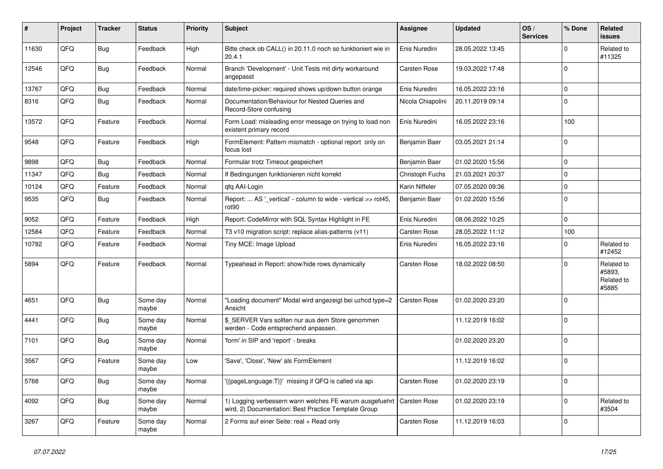| #     | Project | <b>Tracker</b> | <b>Status</b>     | <b>Priority</b> | <b>Subject</b>                                                                                                  | <b>Assignee</b>     | <b>Updated</b>   | OS/<br><b>Services</b> | % Done      | Related<br><b>issues</b>                    |
|-------|---------|----------------|-------------------|-----------------|-----------------------------------------------------------------------------------------------------------------|---------------------|------------------|------------------------|-------------|---------------------------------------------|
| 11630 | QFQ     | <b>Bug</b>     | Feedback          | High            | Bitte check ob CALL() in 20.11.0 noch so funktioniert wie in<br>20.4.1                                          | Enis Nuredini       | 28.05.2022 13:45 |                        | $\mathbf 0$ | Related to<br>#11325                        |
| 12546 | QFQ     | Bug            | Feedback          | Normal          | Branch 'Development' - Unit Tests mit dirty workaround<br>angepasst                                             | <b>Carsten Rose</b> | 19.03.2022 17:48 |                        | $\pmb{0}$   |                                             |
| 13767 | QFQ     | <b>Bug</b>     | Feedback          | Normal          | date/time-picker: required shows up/down button orange                                                          | Enis Nuredini       | 16.05.2022 23:16 |                        | $\pmb{0}$   |                                             |
| 8316  | QFQ     | <b>Bug</b>     | Feedback          | Normal          | Documentation/Behaviour for Nested Queries and<br>Record-Store confusing                                        | Nicola Chiapolini   | 20.11.2019 09:14 |                        | $\pmb{0}$   |                                             |
| 13572 | QFQ     | Feature        | Feedback          | Normal          | Form Load: misleading error message on trying to load non<br>existent primary record                            | Enis Nuredini       | 16.05.2022 23:16 |                        | 100         |                                             |
| 9548  | QFQ     | Feature        | Feedback          | High            | FormElement: Pattern mismatch - optional report only on<br>focus lost                                           | Benjamin Baer       | 03.05.2021 21:14 |                        | $\mathbf 0$ |                                             |
| 9898  | QFQ     | Bug            | Feedback          | Normal          | Formular trotz Timeout gespeichert                                                                              | Benjamin Baer       | 01.02.2020 15:56 |                        | $\mathbf 0$ |                                             |
| 11347 | QFQ     | Bug            | Feedback          | Normal          | If Bedingungen funktionieren nicht korrekt                                                                      | Christoph Fuchs     | 21.03.2021 20:37 |                        | $\mathbf 0$ |                                             |
| 10124 | QFQ     | Feature        | Feedback          | Normal          | qfq AAI-Login                                                                                                   | Karin Niffeler      | 07.05.2020 09:36 |                        | $\pmb{0}$   |                                             |
| 9535  | QFQ     | <b>Bug</b>     | Feedback          | Normal          | Report:  AS ' vertical' - column to wide - vertical >> rot45,<br>rot90                                          | Benjamin Baer       | 01.02.2020 15:56 |                        | $\mathbf 0$ |                                             |
| 9052  | QFQ     | Feature        | Feedback          | High            | Report: CodeMirror with SQL Syntax Highlight in FE                                                              | Enis Nuredini       | 08.06.2022 10:25 |                        | $\mathbf 0$ |                                             |
| 12584 | QFQ     | Feature        | Feedback          | Normal          | T3 v10 migration script: replace alias-patterns (v11)                                                           | <b>Carsten Rose</b> | 28.05.2022 11:12 |                        | 100         |                                             |
| 10782 | QFQ     | Feature        | Feedback          | Normal          | Tiny MCE: Image Upload                                                                                          | Enis Nuredini       | 16.05.2022 23:16 |                        | $\mathbf 0$ | Related to<br>#12452                        |
| 5894  | QFQ     | Feature        | Feedback          | Normal          | Typeahead in Report: show/hide rows dynamically                                                                 | Carsten Rose        | 18.02.2022 08:50 |                        | $\mathbf 0$ | Related to<br>#5893,<br>Related to<br>#5885 |
| 4651  | QFQ     | <b>Bug</b>     | Some day<br>maybe | Normal          | 'Loading document" Modal wird angezeigt bei uzhcd type=2<br>Ansicht                                             | Carsten Rose        | 01.02.2020 23:20 |                        | $\mathbf 0$ |                                             |
| 4441  | QFQ     | <b>Bug</b>     | Some day<br>maybe | Normal          | \$ SERVER Vars sollten nur aus dem Store genommen<br>werden - Code entsprechend anpassen.                       |                     | 11.12.2019 16:02 |                        | $\Omega$    |                                             |
| 7101  | QFQ     | Bug            | Some day<br>maybe | Normal          | 'form' in SIP and 'report' - breaks                                                                             |                     | 01.02.2020 23:20 |                        | $\mathbf 0$ |                                             |
| 3567  | QFQ     | Feature        | Some day<br>maybe | Low             | 'Save', 'Close', 'New' als FormElement                                                                          |                     | 11.12.2019 16:02 |                        | $\pmb{0}$   |                                             |
| 5768  | QFQ     | Bug            | Some day<br>maybe | Normal          | {{pageLanguage:T}}' missing if QFQ is called via api                                                            | Carsten Rose        | 01.02.2020 23:19 |                        | $\mathbf 0$ |                                             |
| 4092  | QFQ     | Bug            | Some day<br>maybe | Normal          | 1) Logging verbessern wann welches FE warum ausgefuehrt<br>wird, 2) Documentation: Best Practice Template Group | Carsten Rose        | 01.02.2020 23:19 |                        | $\mathbf 0$ | Related to<br>#3504                         |
| 3267  | QFQ     | Feature        | Some day<br>maybe | Normal          | 2 Forms auf einer Seite: real + Read only                                                                       | Carsten Rose        | 11.12.2019 16:03 |                        | $\mathbf 0$ |                                             |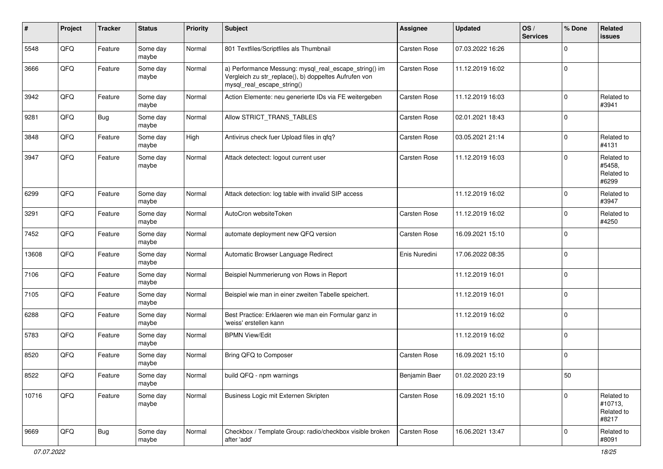| #     | Project        | <b>Tracker</b> | <b>Status</b>     | <b>Priority</b> | <b>Subject</b>                                                                                                                               | <b>Assignee</b> | Updated          | OS/<br><b>Services</b> | % Done      | Related<br><b>issues</b>                     |
|-------|----------------|----------------|-------------------|-----------------|----------------------------------------------------------------------------------------------------------------------------------------------|-----------------|------------------|------------------------|-------------|----------------------------------------------|
| 5548  | QFQ            | Feature        | Some day<br>maybe | Normal          | 801 Textfiles/Scriptfiles als Thumbnail                                                                                                      | Carsten Rose    | 07.03.2022 16:26 |                        | $\Omega$    |                                              |
| 3666  | QFQ            | Feature        | Some day<br>maybe | Normal          | a) Performance Messung: mysql_real_escape_string() im<br>Vergleich zu str_replace(), b) doppeltes Aufrufen von<br>mysql_real_escape_string() | Carsten Rose    | 11.12.2019 16:02 |                        | $\mathbf 0$ |                                              |
| 3942  | QFQ            | Feature        | Some day<br>maybe | Normal          | Action Elemente: neu generierte IDs via FE weitergeben                                                                                       | Carsten Rose    | 11.12.2019 16:03 |                        | $\Omega$    | Related to<br>#3941                          |
| 9281  | QFQ            | Bug            | Some day<br>maybe | Normal          | Allow STRICT_TRANS_TABLES                                                                                                                    | Carsten Rose    | 02.01.2021 18:43 |                        | $\Omega$    |                                              |
| 3848  | QFQ            | Feature        | Some day<br>maybe | High            | Antivirus check fuer Upload files in qfq?                                                                                                    | Carsten Rose    | 03.05.2021 21:14 |                        | $\mathbf 0$ | Related to<br>#4131                          |
| 3947  | QFQ            | Feature        | Some day<br>maybe | Normal          | Attack detectect: logout current user                                                                                                        | Carsten Rose    | 11.12.2019 16:03 |                        | $\Omega$    | Related to<br>#5458,<br>Related to<br>#6299  |
| 6299  | QFQ            | Feature        | Some day<br>maybe | Normal          | Attack detection: log table with invalid SIP access                                                                                          |                 | 11.12.2019 16:02 |                        | $\mathbf 0$ | Related to<br>#3947                          |
| 3291  | QFQ            | Feature        | Some day<br>maybe | Normal          | AutoCron websiteToken                                                                                                                        | Carsten Rose    | 11.12.2019 16:02 |                        | $\Omega$    | Related to<br>#4250                          |
| 7452  | QFQ            | Feature        | Some day<br>maybe | Normal          | automate deployment new QFQ version                                                                                                          | Carsten Rose    | 16.09.2021 15:10 |                        | $\Omega$    |                                              |
| 13608 | QFQ            | Feature        | Some day<br>maybe | Normal          | Automatic Browser Language Redirect                                                                                                          | Enis Nuredini   | 17.06.2022 08:35 |                        | $\Omega$    |                                              |
| 7106  | QFQ            | Feature        | Some day<br>maybe | Normal          | Beispiel Nummerierung von Rows in Report                                                                                                     |                 | 11.12.2019 16:01 |                        | $\mathbf 0$ |                                              |
| 7105  | QFQ            | Feature        | Some day<br>maybe | Normal          | Beispiel wie man in einer zweiten Tabelle speichert.                                                                                         |                 | 11.12.2019 16:01 |                        | $\Omega$    |                                              |
| 6288  | QFQ            | Feature        | Some day<br>maybe | Normal          | Best Practice: Erklaeren wie man ein Formular ganz in<br>'weiss' erstellen kann                                                              |                 | 11.12.2019 16:02 |                        | $\Omega$    |                                              |
| 5783  | QFQ            | Feature        | Some day<br>maybe | Normal          | <b>BPMN View/Edit</b>                                                                                                                        |                 | 11.12.2019 16:02 |                        | $\Omega$    |                                              |
| 8520  | QFQ            | Feature        | Some day<br>maybe | Normal          | Bring QFQ to Composer                                                                                                                        | Carsten Rose    | 16.09.2021 15:10 |                        | $\mathbf 0$ |                                              |
| 8522  | $\mathsf{QFQ}$ | Feature        | Some day<br>maybe | Normal          | build QFQ - npm warnings                                                                                                                     | Benjamin Baer   | 01.02.2020 23:19 |                        | 50          |                                              |
| 10716 | QFQ            | Feature        | Some day<br>maybe | Normal          | Business Logic mit Externen Skripten                                                                                                         | Carsten Rose    | 16.09.2021 15:10 |                        | $\mathbf 0$ | Related to<br>#10713,<br>Related to<br>#8217 |
| 9669  | QFO            | <b>Bug</b>     | Some day<br>maybe | Normal          | Checkbox / Template Group: radio/checkbox visible broken<br>after 'add'                                                                      | Carsten Rose    | 16.06.2021 13:47 |                        | 0           | Related to<br>#8091                          |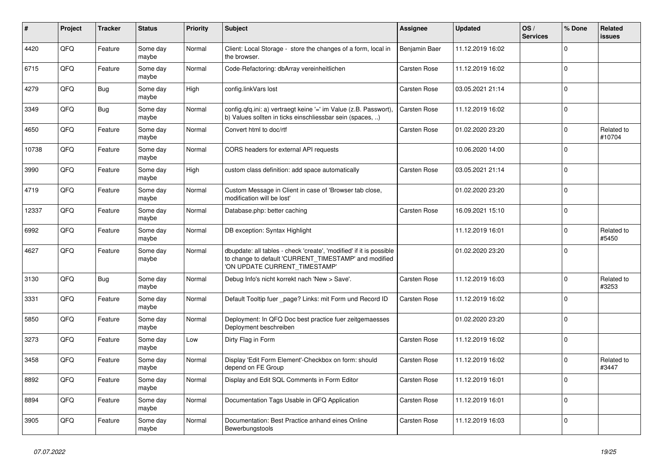| #     | Project | <b>Tracker</b> | <b>Status</b>     | <b>Priority</b> | <b>Subject</b>                                                                                                                                                | <b>Assignee</b>     | <b>Updated</b>   | OS/<br><b>Services</b> | % Done      | <b>Related</b><br><b>issues</b> |
|-------|---------|----------------|-------------------|-----------------|---------------------------------------------------------------------------------------------------------------------------------------------------------------|---------------------|------------------|------------------------|-------------|---------------------------------|
| 4420  | QFQ     | Feature        | Some day<br>maybe | Normal          | Client: Local Storage - store the changes of a form, local in<br>the browser.                                                                                 | Benjamin Baer       | 11.12.2019 16:02 |                        | $\Omega$    |                                 |
| 6715  | QFQ     | Feature        | Some day<br>maybe | Normal          | Code-Refactoring: dbArray vereinheitlichen                                                                                                                    | <b>Carsten Rose</b> | 11.12.2019 16:02 |                        | $\mathbf 0$ |                                 |
| 4279  | QFQ     | <b>Bug</b>     | Some day<br>maybe | High            | config.linkVars lost                                                                                                                                          | Carsten Rose        | 03.05.2021 21:14 |                        | $\Omega$    |                                 |
| 3349  | QFQ     | <b>Bug</b>     | Some day<br>maybe | Normal          | config.qfq.ini: a) vertraegt keine '=' im Value (z.B. Passwort),<br>b) Values sollten in ticks einschliessbar sein (spaces, )                                 | Carsten Rose        | 11.12.2019 16:02 |                        | $\mathbf 0$ |                                 |
| 4650  | QFQ     | Feature        | Some day<br>maybe | Normal          | Convert html to doc/rtf                                                                                                                                       | <b>Carsten Rose</b> | 01.02.2020 23:20 |                        | $\mathbf 0$ | Related to<br>#10704            |
| 10738 | QFQ     | Feature        | Some day<br>maybe | Normal          | CORS headers for external API requests                                                                                                                        |                     | 10.06.2020 14:00 |                        | $\Omega$    |                                 |
| 3990  | QFQ     | Feature        | Some day<br>maybe | High            | custom class definition: add space automatically                                                                                                              | Carsten Rose        | 03.05.2021 21:14 |                        | $\Omega$    |                                 |
| 4719  | QFQ     | Feature        | Some day<br>maybe | Normal          | Custom Message in Client in case of 'Browser tab close,<br>modification will be lost'                                                                         |                     | 01.02.2020 23:20 |                        | $\mathbf 0$ |                                 |
| 12337 | QFQ     | Feature        | Some dav<br>maybe | Normal          | Database.php: better caching                                                                                                                                  | <b>Carsten Rose</b> | 16.09.2021 15:10 |                        | $\Omega$    |                                 |
| 6992  | QFQ     | Feature        | Some day<br>maybe | Normal          | DB exception: Syntax Highlight                                                                                                                                |                     | 11.12.2019 16:01 |                        | $\mathbf 0$ | Related to<br>#5450             |
| 4627  | QFQ     | Feature        | Some day<br>maybe | Normal          | dbupdate: all tables - check 'create', 'modified' if it is possible<br>to change to default 'CURRENT_TIMESTAMP' and modified<br>'ON UPDATE CURRENT_TIMESTAMP' |                     | 01.02.2020 23:20 |                        | $\Omega$    |                                 |
| 3130  | QFQ     | Bug            | Some day<br>maybe | Normal          | Debug Info's nicht korrekt nach 'New > Save'.                                                                                                                 | Carsten Rose        | 11.12.2019 16:03 |                        | $\Omega$    | Related to<br>#3253             |
| 3331  | QFQ     | Feature        | Some day<br>maybe | Normal          | Default Tooltip fuer _page? Links: mit Form und Record ID                                                                                                     | <b>Carsten Rose</b> | 11.12.2019 16:02 |                        | $\Omega$    |                                 |
| 5850  | QFQ     | Feature        | Some day<br>maybe | Normal          | Deployment: In QFQ Doc best practice fuer zeitgemaesses<br>Deployment beschreiben                                                                             |                     | 01.02.2020 23:20 |                        | $\mathbf 0$ |                                 |
| 3273  | QFQ     | Feature        | Some day<br>maybe | Low             | Dirty Flag in Form                                                                                                                                            | Carsten Rose        | 11.12.2019 16:02 |                        | $\mathbf 0$ |                                 |
| 3458  | QFQ     | Feature        | Some day<br>maybe | Normal          | Display 'Edit Form Element'-Checkbox on form: should<br>depend on FE Group                                                                                    | Carsten Rose        | 11.12.2019 16:02 |                        | $\Omega$    | Related to<br>#3447             |
| 8892  | QFQ     | Feature        | Some dav<br>maybe | Normal          | Display and Edit SQL Comments in Form Editor                                                                                                                  | <b>Carsten Rose</b> | 11.12.2019 16:01 |                        | $\Omega$    |                                 |
| 8894  | QFQ     | Feature        | Some day<br>maybe | Normal          | Documentation Tags Usable in QFQ Application                                                                                                                  | Carsten Rose        | 11.12.2019 16:01 |                        | $\Omega$    |                                 |
| 3905  | QFQ     | Feature        | Some day<br>maybe | Normal          | Documentation: Best Practice anhand eines Online<br>Bewerbungstools                                                                                           | <b>Carsten Rose</b> | 11.12.2019 16:03 |                        | $\mathbf 0$ |                                 |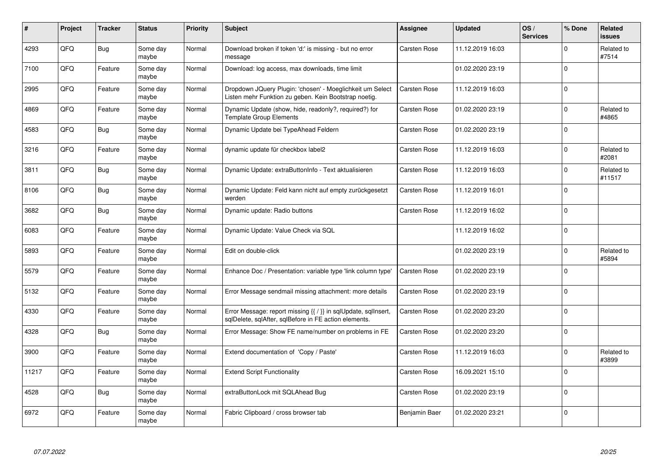| ∦     | Project    | <b>Tracker</b> | <b>Status</b>     | <b>Priority</b> | <b>Subject</b>                                                                                                          | <b>Assignee</b> | <b>Updated</b>   | OS/<br><b>Services</b> | % Done      | Related<br><b>issues</b> |
|-------|------------|----------------|-------------------|-----------------|-------------------------------------------------------------------------------------------------------------------------|-----------------|------------------|------------------------|-------------|--------------------------|
| 4293  | QFQ        | Bug            | Some day<br>maybe | Normal          | Download broken if token 'd:' is missing - but no error<br>message                                                      | Carsten Rose    | 11.12.2019 16:03 |                        | $\Omega$    | Related to<br>#7514      |
| 7100  | QFQ        | Feature        | Some day<br>maybe | Normal          | Download: log access, max downloads, time limit                                                                         |                 | 01.02.2020 23:19 |                        | $\Omega$    |                          |
| 2995  | QFQ        | Feature        | Some day<br>maybe | Normal          | Dropdown JQuery Plugin: 'chosen' - Moeglichkeit um Select<br>Listen mehr Funktion zu geben. Kein Bootstrap noetig.      | Carsten Rose    | 11.12.2019 16:03 |                        | $\Omega$    |                          |
| 4869  | QFQ        | Feature        | Some day<br>maybe | Normal          | Dynamic Update (show, hide, readonly?, required?) for<br><b>Template Group Elements</b>                                 | Carsten Rose    | 01.02.2020 23:19 |                        | $\Omega$    | Related to<br>#4865      |
| 4583  | QFQ        | <b>Bug</b>     | Some day<br>maybe | Normal          | Dynamic Update bei TypeAhead Feldern                                                                                    | Carsten Rose    | 01.02.2020 23:19 |                        | $\Omega$    |                          |
| 3216  | <b>OFO</b> | Feature        | Some day<br>maybe | Normal          | dynamic update für checkbox label2                                                                                      | Carsten Rose    | 11.12.2019 16:03 |                        | $\Omega$    | Related to<br>#2081      |
| 3811  | QFQ        | Bug            | Some day<br>maybe | Normal          | Dynamic Update: extraButtonInfo - Text aktualisieren                                                                    | Carsten Rose    | 11.12.2019 16:03 |                        | $\Omega$    | Related to<br>#11517     |
| 8106  | QFQ        | Bug            | Some day<br>maybe | Normal          | Dynamic Update: Feld kann nicht auf empty zurückgesetzt<br>werden                                                       | Carsten Rose    | 11.12.2019 16:01 |                        | $\Omega$    |                          |
| 3682  | QFQ        | <b>Bug</b>     | Some day<br>maybe | Normal          | Dynamic update: Radio buttons                                                                                           | Carsten Rose    | 11.12.2019 16:02 |                        | $\Omega$    |                          |
| 6083  | QFQ        | Feature        | Some day<br>maybe | Normal          | Dynamic Update: Value Check via SQL                                                                                     |                 | 11.12.2019 16:02 |                        | $\mathbf 0$ |                          |
| 5893  | QFQ        | Feature        | Some day<br>maybe | Normal          | Edit on double-click                                                                                                    |                 | 01.02.2020 23:19 |                        | $\mathbf 0$ | Related to<br>#5894      |
| 5579  | QFQ        | Feature        | Some day<br>maybe | Normal          | Enhance Doc / Presentation: variable type 'link column type'                                                            | Carsten Rose    | 01.02.2020 23:19 |                        | $\mathbf 0$ |                          |
| 5132  | QFQ        | Feature        | Some day<br>maybe | Normal          | Error Message sendmail missing attachment: more details                                                                 | Carsten Rose    | 01.02.2020 23:19 |                        | $\Omega$    |                          |
| 4330  | QFQ        | Feature        | Some day<br>maybe | Normal          | Error Message: report missing {{ / }} in sqlUpdate, sqlInsert,<br>sqlDelete, sqlAfter, sqlBefore in FE action elements. | Carsten Rose    | 01.02.2020 23:20 |                        | $\Omega$    |                          |
| 4328  | QFQ        | <b>Bug</b>     | Some day<br>maybe | Normal          | Error Message: Show FE name/number on problems in FE                                                                    | Carsten Rose    | 01.02.2020 23:20 |                        | $\Omega$    |                          |
| 3900  | QFQ        | Feature        | Some day<br>maybe | Normal          | Extend documentation of 'Copy / Paste'                                                                                  | Carsten Rose    | 11.12.2019 16:03 |                        | $\Omega$    | Related to<br>#3899      |
| 11217 | QFQ        | Feature        | Some day<br>maybe | Normal          | <b>Extend Script Functionality</b>                                                                                      | Carsten Rose    | 16.09.2021 15:10 |                        | $\Omega$    |                          |
| 4528  | QFQ        | <b>Bug</b>     | Some day<br>maybe | Normal          | extraButtonLock mit SQLAhead Bug                                                                                        | Carsten Rose    | 01.02.2020 23:19 |                        | $\Omega$    |                          |
| 6972  | QFQ        | Feature        | Some day<br>maybe | Normal          | Fabric Clipboard / cross browser tab                                                                                    | Benjamin Baer   | 01.02.2020 23:21 |                        | $\Omega$    |                          |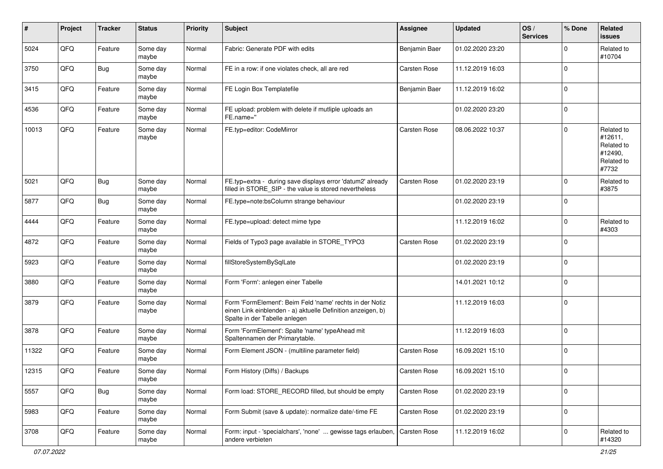| ∦     | Project | <b>Tracker</b> | <b>Status</b>     | <b>Priority</b> | Subject                                                                                                                                                  | <b>Assignee</b> | <b>Updated</b>   | OS/<br><b>Services</b> | % Done      | Related<br>issues                                                     |
|-------|---------|----------------|-------------------|-----------------|----------------------------------------------------------------------------------------------------------------------------------------------------------|-----------------|------------------|------------------------|-------------|-----------------------------------------------------------------------|
| 5024  | QFQ     | Feature        | Some day<br>maybe | Normal          | Fabric: Generate PDF with edits                                                                                                                          | Benjamin Baer   | 01.02.2020 23:20 |                        | $\Omega$    | Related to<br>#10704                                                  |
| 3750  | QFQ     | Bug            | Some day<br>maybe | Normal          | FE in a row: if one violates check, all are red                                                                                                          | Carsten Rose    | 11.12.2019 16:03 |                        | $\Omega$    |                                                                       |
| 3415  | QFQ     | Feature        | Some day<br>maybe | Normal          | FE Login Box Templatefile                                                                                                                                | Benjamin Baer   | 11.12.2019 16:02 |                        | $\Omega$    |                                                                       |
| 4536  | QFQ     | Feature        | Some day<br>maybe | Normal          | FE upload: problem with delete if mutliple uploads an<br>FE.name="                                                                                       |                 | 01.02.2020 23:20 |                        | $\mathbf 0$ |                                                                       |
| 10013 | QFQ     | Feature        | Some day<br>maybe | Normal          | FE.typ=editor: CodeMirror                                                                                                                                | Carsten Rose    | 08.06.2022 10:37 |                        | $\Omega$    | Related to<br>#12611,<br>Related to<br>#12490,<br>Related to<br>#7732 |
| 5021  | QFQ     | <b>Bug</b>     | Some day<br>maybe | Normal          | FE.typ=extra - during save displays error 'datum2' already<br>filled in STORE_SIP - the value is stored nevertheless                                     | Carsten Rose    | 01.02.2020 23:19 |                        | $\Omega$    | Related to<br>#3875                                                   |
| 5877  | QFQ     | Bug            | Some day<br>maybe | Normal          | FE.type=note:bsColumn strange behaviour                                                                                                                  |                 | 01.02.2020 23:19 |                        | $\Omega$    |                                                                       |
| 4444  | QFQ     | Feature        | Some day<br>maybe | Normal          | FE.type=upload: detect mime type                                                                                                                         |                 | 11.12.2019 16:02 |                        | $\Omega$    | Related to<br>#4303                                                   |
| 4872  | QFQ     | Feature        | Some day<br>maybe | Normal          | Fields of Typo3 page available in STORE_TYPO3                                                                                                            | Carsten Rose    | 01.02.2020 23:19 |                        | $\Omega$    |                                                                       |
| 5923  | QFQ     | Feature        | Some day<br>maybe | Normal          | fillStoreSystemBySqlLate                                                                                                                                 |                 | 01.02.2020 23:19 |                        | $\Omega$    |                                                                       |
| 3880  | QFQ     | Feature        | Some day<br>maybe | Normal          | Form 'Form': anlegen einer Tabelle                                                                                                                       |                 | 14.01.2021 10:12 |                        | $\Omega$    |                                                                       |
| 3879  | QFQ     | Feature        | Some day<br>maybe | Normal          | Form 'FormElement': Beim Feld 'name' rechts in der Notiz<br>einen Link einblenden - a) aktuelle Definition anzeigen, b)<br>Spalte in der Tabelle anlegen |                 | 11.12.2019 16:03 |                        | $\Omega$    |                                                                       |
| 3878  | QFQ     | Feature        | Some day<br>maybe | Normal          | Form 'FormElement': Spalte 'name' typeAhead mit<br>Spaltennamen der Primarytable.                                                                        |                 | 11.12.2019 16:03 |                        | $\Omega$    |                                                                       |
| 11322 | QFQ     | Feature        | Some day<br>maybe | Normal          | Form Element JSON - (multiline parameter field)                                                                                                          | Carsten Rose    | 16.09.2021 15:10 |                        | $\Omega$    |                                                                       |
| 12315 | QFQ     | Feature        | Some day<br>maybe | Normal          | Form History (Diffs) / Backups                                                                                                                           | Carsten Rose    | 16.09.2021 15:10 |                        | $\Omega$    |                                                                       |
| 5557  | QFO     | <b>Bug</b>     | Some day<br>maybe | Normal          | Form load: STORE_RECORD filled, but should be empty                                                                                                      | Carsten Rose    | 01.02.2020 23:19 |                        | $\Omega$    |                                                                       |
| 5983  | QFQ     | Feature        | Some day<br>maybe | Normal          | Form Submit (save & update): normalize date/-time FE                                                                                                     | Carsten Rose    | 01.02.2020 23:19 |                        | $\pmb{0}$   |                                                                       |
| 3708  | QFO     | Feature        | Some day<br>maybe | Normal          | Form: input - 'specialchars', 'none'  gewisse tags erlauben,<br>andere verbieten                                                                         | Carsten Rose    | 11.12.2019 16:02 |                        | 0           | Related to<br>#14320                                                  |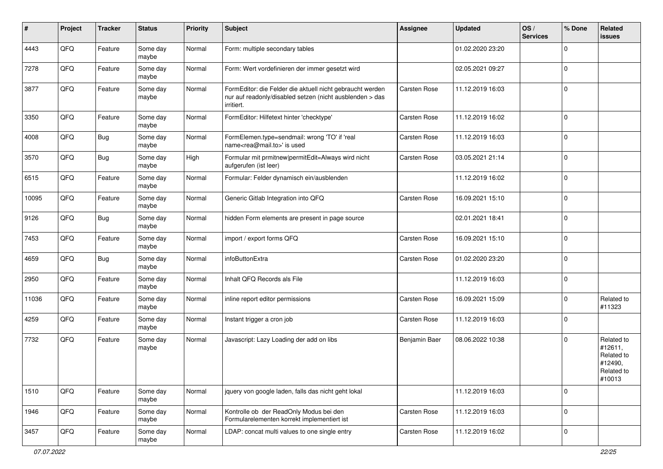| #     | Project | <b>Tracker</b> | <b>Status</b>     | <b>Priority</b> | <b>Subject</b>                                                                                                                      | <b>Assignee</b> | <b>Updated</b>   | OS/<br><b>Services</b> | % Done      | Related<br>issues                                                      |
|-------|---------|----------------|-------------------|-----------------|-------------------------------------------------------------------------------------------------------------------------------------|-----------------|------------------|------------------------|-------------|------------------------------------------------------------------------|
| 4443  | QFQ     | Feature        | Some day<br>maybe | Normal          | Form: multiple secondary tables                                                                                                     |                 | 01.02.2020 23:20 |                        | $\Omega$    |                                                                        |
| 7278  | QFQ     | Feature        | Some day<br>maybe | Normal          | Form: Wert vordefinieren der immer gesetzt wird                                                                                     |                 | 02.05.2021 09:27 |                        | $\mathbf 0$ |                                                                        |
| 3877  | QFQ     | Feature        | Some day<br>maybe | Normal          | FormEditor: die Felder die aktuell nicht gebraucht werden<br>nur auf readonly/disabled setzen (nicht ausblenden > das<br>irritiert. | Carsten Rose    | 11.12.2019 16:03 |                        | $\Omega$    |                                                                        |
| 3350  | QFQ     | Feature        | Some day<br>maybe | Normal          | FormEditor: Hilfetext hinter 'checktype'                                                                                            | Carsten Rose    | 11.12.2019 16:02 |                        | $\Omega$    |                                                                        |
| 4008  | QFQ     | <b>Bug</b>     | Some day<br>maybe | Normal          | FormElemen.type=sendmail: wrong 'TO' if 'real<br>name <rea@mail.to>' is used</rea@mail.to>                                          | Carsten Rose    | 11.12.2019 16:03 |                        | $\mathbf 0$ |                                                                        |
| 3570  | QFQ     | <b>Bug</b>     | Some day<br>maybe | High            | Formular mit prmitnew   permitEdit=Always wird nicht<br>aufgerufen (ist leer)                                                       | Carsten Rose    | 03.05.2021 21:14 |                        | $\Omega$    |                                                                        |
| 6515  | QFQ     | Feature        | Some day<br>maybe | Normal          | Formular: Felder dynamisch ein/ausblenden                                                                                           |                 | 11.12.2019 16:02 |                        | $\mathbf 0$ |                                                                        |
| 10095 | QFQ     | Feature        | Some day<br>maybe | Normal          | Generic Gitlab Integration into QFQ                                                                                                 | Carsten Rose    | 16.09.2021 15:10 |                        | $\Omega$    |                                                                        |
| 9126  | QFQ     | <b>Bug</b>     | Some day<br>maybe | Normal          | hidden Form elements are present in page source                                                                                     |                 | 02.01.2021 18:41 |                        | $\Omega$    |                                                                        |
| 7453  | QFQ     | Feature        | Some day<br>maybe | Normal          | import / export forms QFQ                                                                                                           | Carsten Rose    | 16.09.2021 15:10 |                        | $\mathbf 0$ |                                                                        |
| 4659  | QFQ     | Bug            | Some day<br>maybe | Normal          | infoButtonExtra                                                                                                                     | Carsten Rose    | 01.02.2020 23:20 |                        | $\Omega$    |                                                                        |
| 2950  | QFQ     | Feature        | Some day<br>maybe | Normal          | Inhalt QFQ Records als File                                                                                                         |                 | 11.12.2019 16:03 |                        | $\Omega$    |                                                                        |
| 11036 | QFQ     | Feature        | Some day<br>maybe | Normal          | inline report editor permissions                                                                                                    | Carsten Rose    | 16.09.2021 15:09 |                        | $\Omega$    | Related to<br>#11323                                                   |
| 4259  | QFQ     | Feature        | Some day<br>maybe | Normal          | Instant trigger a cron job                                                                                                          | Carsten Rose    | 11.12.2019 16:03 |                        | $\Omega$    |                                                                        |
| 7732  | QFQ     | Feature        | Some day<br>maybe | Normal          | Javascript: Lazy Loading der add on libs                                                                                            | Benjamin Baer   | 08.06.2022 10:38 |                        | $\Omega$    | Related to<br>#12611,<br>Related to<br>#12490,<br>Related to<br>#10013 |
| 1510  | QFO     | Feature        | Some day<br>maybe | Normal          | jquery von google laden, falls das nicht geht lokal                                                                                 |                 | 11.12.2019 16:03 |                        | $\mathbf 0$ |                                                                        |
| 1946  | QFG     | Feature        | Some day<br>maybe | Normal          | Kontrolle ob der ReadOnly Modus bei den<br>Formularelementen korrekt implementiert ist                                              | Carsten Rose    | 11.12.2019 16:03 |                        | $\pmb{0}$   |                                                                        |
| 3457  | QFO     | Feature        | Some day<br>maybe | Normal          | LDAP: concat multi values to one single entry                                                                                       | Carsten Rose    | 11.12.2019 16:02 |                        | 0           |                                                                        |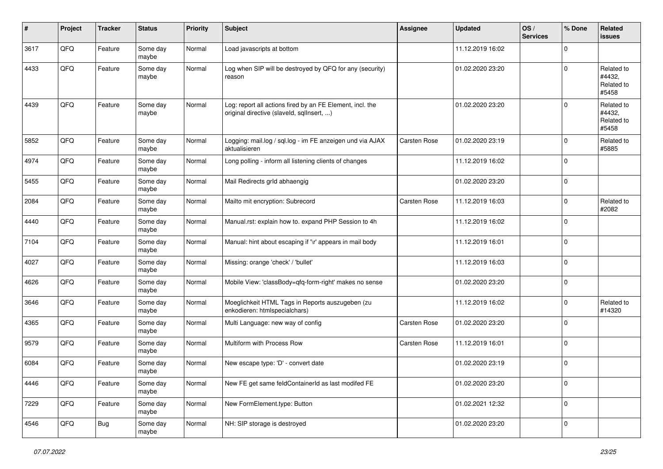| ∦    | Project | <b>Tracker</b> | <b>Status</b>     | <b>Priority</b> | <b>Subject</b>                                                                                         | <b>Assignee</b> | <b>Updated</b>   | OS/<br><b>Services</b> | % Done      | Related<br>issues                           |
|------|---------|----------------|-------------------|-----------------|--------------------------------------------------------------------------------------------------------|-----------------|------------------|------------------------|-------------|---------------------------------------------|
| 3617 | QFQ     | Feature        | Some day<br>maybe | Normal          | Load javascripts at bottom                                                                             |                 | 11.12.2019 16:02 |                        | $\mathbf 0$ |                                             |
| 4433 | QFQ     | Feature        | Some day<br>maybe | Normal          | Log when SIP will be destroyed by QFQ for any (security)<br>reason                                     |                 | 01.02.2020 23:20 |                        | $\Omega$    | Related to<br>#4432.<br>Related to<br>#5458 |
| 4439 | QFQ     | Feature        | Some day<br>maybe | Normal          | Log: report all actions fired by an FE Element, incl. the<br>original directive (slaveld, sqllnsert, ) |                 | 01.02.2020 23:20 |                        | $\mathbf 0$ | Related to<br>#4432,<br>Related to<br>#5458 |
| 5852 | QFQ     | Feature        | Some day<br>maybe | Normal          | Logging: mail.log / sql.log - im FE anzeigen und via AJAX<br>aktualisieren                             | Carsten Rose    | 01.02.2020 23:19 |                        | $\Omega$    | Related to<br>#5885                         |
| 4974 | QFQ     | Feature        | Some day<br>maybe | Normal          | Long polling - inform all listening clients of changes                                                 |                 | 11.12.2019 16:02 |                        | $\mathbf 0$ |                                             |
| 5455 | QFQ     | Feature        | Some day<br>maybe | Normal          | Mail Redirects grld abhaengig                                                                          |                 | 01.02.2020 23:20 |                        | $\mathbf 0$ |                                             |
| 2084 | QFQ     | Feature        | Some day<br>maybe | Normal          | Mailto mit encryption: Subrecord                                                                       | Carsten Rose    | 11.12.2019 16:03 |                        | $\mathbf 0$ | Related to<br>#2082                         |
| 4440 | QFQ     | Feature        | Some day<br>maybe | Normal          | Manual.rst: explain how to. expand PHP Session to 4h                                                   |                 | 11.12.2019 16:02 |                        | $\mathbf 0$ |                                             |
| 7104 | QFQ     | Feature        | Some day<br>maybe | Normal          | Manual: hint about escaping if '\r' appears in mail body                                               |                 | 11.12.2019 16:01 |                        | $\mathbf 0$ |                                             |
| 4027 | QFQ     | Feature        | Some day<br>maybe | Normal          | Missing: orange 'check' / 'bullet'                                                                     |                 | 11.12.2019 16:03 |                        | $\mathbf 0$ |                                             |
| 4626 | QFQ     | Feature        | Some day<br>maybe | Normal          | Mobile View: 'classBody=qfq-form-right' makes no sense                                                 |                 | 01.02.2020 23:20 |                        | $\mathbf 0$ |                                             |
| 3646 | QFQ     | Feature        | Some day<br>maybe | Normal          | Moeglichkeit HTML Tags in Reports auszugeben (zu<br>enkodieren: htmlspecialchars)                      |                 | 11.12.2019 16:02 |                        | $\mathbf 0$ | Related to<br>#14320                        |
| 4365 | QFQ     | Feature        | Some day<br>maybe | Normal          | Multi Language: new way of config                                                                      | Carsten Rose    | 01.02.2020 23:20 |                        | $\mathbf 0$ |                                             |
| 9579 | QFQ     | Feature        | Some day<br>maybe | Normal          | Multiform with Process Row                                                                             | Carsten Rose    | 11.12.2019 16:01 |                        | $\mathbf 0$ |                                             |
| 6084 | QFQ     | Feature        | Some day<br>maybe | Normal          | New escape type: 'D' - convert date                                                                    |                 | 01.02.2020 23:19 |                        | $\mathbf 0$ |                                             |
| 4446 | QFQ     | Feature        | Some day<br>maybe | Normal          | New FE get same feldContainerId as last modifed FE                                                     |                 | 01.02.2020 23:20 |                        | $\mathbf 0$ |                                             |
| 7229 | QFQ     | Feature        | Some day<br>maybe | Normal          | New FormElement.type: Button                                                                           |                 | 01.02.2021 12:32 |                        | 0           |                                             |
| 4546 | QFQ     | Bug            | Some day<br>maybe | Normal          | NH: SIP storage is destroyed                                                                           |                 | 01.02.2020 23:20 |                        | $\mathbf 0$ |                                             |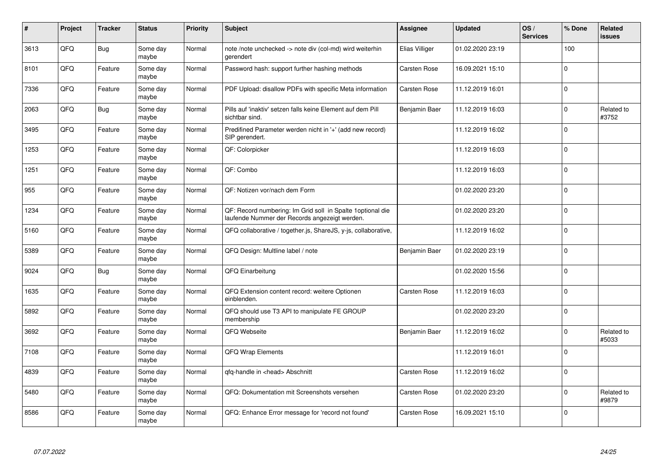| #    | Project | <b>Tracker</b> | <b>Status</b>     | <b>Priority</b> | <b>Subject</b>                                                                                              | Assignee            | <b>Updated</b>   | OS/<br><b>Services</b> | % Done      | <b>Related</b><br><b>issues</b> |
|------|---------|----------------|-------------------|-----------------|-------------------------------------------------------------------------------------------------------------|---------------------|------------------|------------------------|-------------|---------------------------------|
| 3613 | QFQ     | <b>Bug</b>     | Some day<br>maybe | Normal          | note /note unchecked -> note div (col-md) wird weiterhin<br>gerendert                                       | Elias Villiger      | 01.02.2020 23:19 |                        | 100         |                                 |
| 8101 | QFQ     | Feature        | Some day<br>maybe | Normal          | Password hash: support further hashing methods                                                              | <b>Carsten Rose</b> | 16.09.2021 15:10 |                        | $\Omega$    |                                 |
| 7336 | QFQ     | Feature        | Some day<br>maybe | Normal          | PDF Upload: disallow PDFs with specific Meta information                                                    | <b>Carsten Rose</b> | 11.12.2019 16:01 |                        | $\mathbf 0$ |                                 |
| 2063 | QFQ     | <b>Bug</b>     | Some day<br>maybe | Normal          | Pills auf 'inaktiv' setzen falls keine Element auf dem Pill<br>sichtbar sind.                               | Benjamin Baer       | 11.12.2019 16:03 |                        | $\Omega$    | Related to<br>#3752             |
| 3495 | QFQ     | Feature        | Some day<br>maybe | Normal          | Predifined Parameter werden nicht in '+' (add new record)<br>SIP gerendert.                                 |                     | 11.12.2019 16:02 |                        | $\mathbf 0$ |                                 |
| 1253 | QFQ     | Feature        | Some day<br>maybe | Normal          | QF: Colorpicker                                                                                             |                     | 11.12.2019 16:03 |                        | $\mathbf 0$ |                                 |
| 1251 | QFQ     | Feature        | Some day<br>maybe | Normal          | QF: Combo                                                                                                   |                     | 11.12.2019 16:03 |                        | $\mathbf 0$ |                                 |
| 955  | QFQ     | Feature        | Some day<br>maybe | Normal          | QF: Notizen vor/nach dem Form                                                                               |                     | 01.02.2020 23:20 |                        | $\Omega$    |                                 |
| 1234 | QFQ     | Feature        | Some day<br>maybe | Normal          | QF: Record numbering: Im Grid soll in Spalte 1optional die<br>laufende Nummer der Records angezeigt werden. |                     | 01.02.2020 23:20 |                        | $\mathbf 0$ |                                 |
| 5160 | QFQ     | Feature        | Some day<br>maybe | Normal          | QFQ collaborative / together.js, ShareJS, y-js, collaborative,                                              |                     | 11.12.2019 16:02 |                        | $\mathbf 0$ |                                 |
| 5389 | QFQ     | Feature        | Some day<br>maybe | Normal          | QFQ Design: Multline label / note                                                                           | Benjamin Baer       | 01.02.2020 23:19 |                        | $\mathbf 0$ |                                 |
| 9024 | QFQ     | <b>Bug</b>     | Some dav<br>maybe | Normal          | QFQ Einarbeitung                                                                                            |                     | 01.02.2020 15:56 |                        | $\Omega$    |                                 |
| 1635 | QFQ     | Feature        | Some day<br>maybe | Normal          | QFQ Extension content record: weitere Optionen<br>einblenden.                                               | <b>Carsten Rose</b> | 11.12.2019 16:03 |                        | $\mathbf 0$ |                                 |
| 5892 | QFQ     | Feature        | Some day<br>maybe | Normal          | QFQ should use T3 API to manipulate FE GROUP<br>membership                                                  |                     | 01.02.2020 23:20 |                        | $\mathbf 0$ |                                 |
| 3692 | QFQ     | Feature        | Some day<br>maybe | Normal          | QFQ Webseite                                                                                                | Benjamin Baer       | 11.12.2019 16:02 |                        | $\Omega$    | Related to<br>#5033             |
| 7108 | QFQ     | Feature        | Some day<br>maybe | Normal          | QFQ Wrap Elements                                                                                           |                     | 11.12.2019 16:01 |                        | $\mathbf 0$ |                                 |
| 4839 | QFQ     | Feature        | Some day<br>maybe | Normal          | qfq-handle in <head> Abschnitt</head>                                                                       | <b>Carsten Rose</b> | 11.12.2019 16:02 |                        | $\mathbf 0$ |                                 |
| 5480 | QFQ     | Feature        | Some day<br>maybe | Normal          | QFQ: Dokumentation mit Screenshots versehen                                                                 | Carsten Rose        | 01.02.2020 23:20 |                        | $\mathbf 0$ | Related to<br>#9879             |
| 8586 | QFQ     | Feature        | Some day<br>maybe | Normal          | QFQ: Enhance Error message for 'record not found'                                                           | <b>Carsten Rose</b> | 16.09.2021 15:10 |                        | $\Omega$    |                                 |